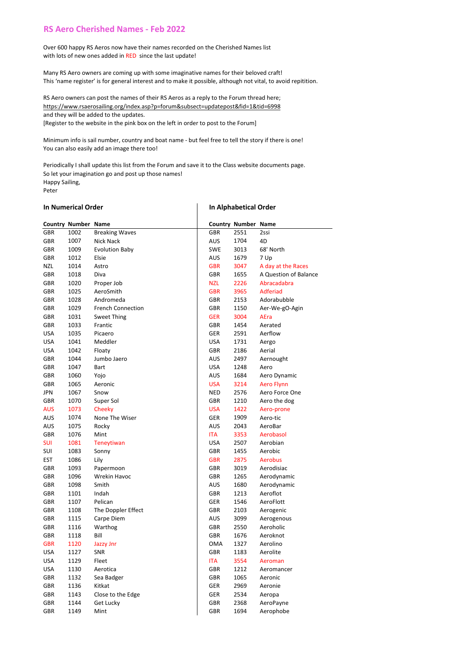## **RS Aero Cherished Names - Feb 2022**

Over 600 happy RS Aeros now have their names recorded on the Cherished Names list with lots of new ones added in RED since the last update!

Many RS Aero owners are coming up with some imaginative names for their beloved craft! This 'name register' is for general interest and to make it possible, although not vital, to avoid repitition.

RS Aero owners can post the names of their RS Aeros as a reply to the Forum thread here; https://www.rsaerosailing.org/index.asp?p=forum&subsect=updatepost&fid=1&tid=6998 and they will be added to the updates.

[Register to the website in the pink box on the left in order to post to the Forum]

Minimum info is sail number, country and boat name - but feel free to tell the story if there is one! You can also easily add an image there too!

Periodically I shall update this list from the Forum and save it to the Class website documents page. So let your imagination go and post up those names! Happy Sailing, Peter 

## **In Numerical Order In Alphabetical Order**

|            | <b>Country Number Name</b> |                          |            | <b>Country Number Name</b> |                       |
|------------|----------------------------|--------------------------|------------|----------------------------|-----------------------|
| GBR        | 1002                       | <b>Breaking Waves</b>    | GBR        | 2551                       | 2ssi                  |
| <b>GBR</b> | 1007                       | Nick Nack                | AUS        | 1704                       | 4D                    |
| <b>GBR</b> | 1009                       | <b>Evolution Baby</b>    | <b>SWE</b> | 3013                       | 68' North             |
| <b>GBR</b> | 1012                       | Elsie                    | <b>AUS</b> | 1679                       | 7 Up                  |
| NZL        | 1014                       | Astro                    | <b>GBR</b> | 3047                       | A day at the Races    |
| <b>GBR</b> | 1018                       | Diva                     | GBR        | 1655                       | A Question of Balance |
| <b>GBR</b> | 1020                       | Proper Job               | <b>NZL</b> | 2226                       | Abracadabra           |
| <b>GBR</b> | 1025                       | AeroSmith                | <b>GBR</b> | 3965                       | Adferiad              |
| GBR        | 1028                       | Andromeda                | GBR        | 2153                       | Adorabubble           |
| GBR        | 1029                       | <b>French Connection</b> | GBR        | 1150                       | Aer-We-gO-Agin        |
| <b>GBR</b> | 1031                       | <b>Sweet Thing</b>       | <b>GER</b> | 3004                       | AEra                  |
| GBR        | 1033                       | Frantic                  | GBR        | 1454                       | Aerated               |
| <b>USA</b> | 1035                       | Picaero                  | GER        | 2591                       | Aerflow               |
| <b>USA</b> | 1041                       | Meddler                  | USA        | 1731                       | Aergo                 |
| <b>USA</b> | 1042                       | Floaty                   | GBR        | 2186                       | Aerial                |
| GBR        | 1044                       | Jumbo Jaero              | AUS        | 2497                       | Aernought             |
| GBR        | 1047                       | Bart                     | <b>USA</b> | 1248                       | Aero                  |
| GBR        | 1060                       | Yojo                     | AUS        | 1684                       | Aero Dynamic          |
| <b>GBR</b> | 1065                       | Aeronic                  | <b>USA</b> | 3214                       | <b>Aero Flynn</b>     |
| JPN        | 1067                       | Snow                     | <b>NED</b> | 2576                       | Aero Force One        |
| GBR        | 1070                       | Super Sol                | GBR        | 1210                       | Aero the dog          |
| <b>AUS</b> | 1073                       | Cheeky                   | <b>USA</b> | 1422                       | Aero-prone            |
| AUS        | 1074                       | None The Wiser           | GER        | 1909                       | Aero-tic              |
| <b>AUS</b> | 1075                       | Rocky                    | <b>AUS</b> | 2043                       | AeroBar               |
| GBR        | 1076                       | Mint                     | ITA        | 3353                       | Aerobasol             |
| <b>SUI</b> | 1081                       | Teneytiwan               | <b>USA</b> | 2507                       | Aerobian              |
| SUI        | 1083                       | Sonny                    | GBR        | 1455                       | Aerobic               |
| <b>EST</b> | 1086                       | Lily                     | <b>GBR</b> | 2875                       | <b>Aerobus</b>        |
| GBR        | 1093                       | Papermoon                | GBR        | 3019                       | Aerodisiac            |
| <b>GBR</b> | 1096                       | Wrekin Havoc             | GBR        | 1265                       | Aerodynamic           |
| GBR        | 1098                       | Smith                    | <b>AUS</b> | 1680                       | Aerodynamic           |
| GBR        | 1101                       | Indah                    | <b>GBR</b> | 1213                       | Aeroflot              |
| GBR        | 1107                       | Pelican                  | GER        | 1546                       | AeroFlott             |
| GBR        | 1108                       | The Doppler Effect       | GBR        | 2103                       | Aerogenic             |
| GBR        | 1115                       | Carpe Diem               | <b>AUS</b> | 3099                       | Aerogenous            |
| GBR        | 1116                       | Warthog                  | GBR        | 2550                       | Aeroholic             |
| GBR        | 1118                       | Bill                     | GBR        | 1676                       | Aeroknot              |
| <b>GBR</b> | 1120                       | <b>Jazzy Jnr</b>         | <b>OMA</b> | 1327                       | Aerolino              |
| <b>USA</b> | 1127                       | SNR                      | GBR        | 1183                       | Aerolite              |
| <b>USA</b> | 1129                       | Fleet                    | <b>ITA</b> | 3554                       | Aeroman               |
| <b>USA</b> | 1130                       | Aerotica                 | GBR        | 1212                       | Aeromancer            |
| GBR        | 1132                       | Sea Badger               | GBR        | 1065                       | Aeronic               |
| GBR        | 1136                       | Kitkat                   | GER        | 2969                       | Aeronie               |
| GBR        | 1143                       | Close to the Edge        | GER        | 2534                       | Aeropa                |
| GBR        | 1144                       | Get Lucky                | GBR        | 2368                       | AeroPayne             |
| <b>GBR</b> | 1149                       | Mint                     | GBR        | 1694                       | Aerophobe             |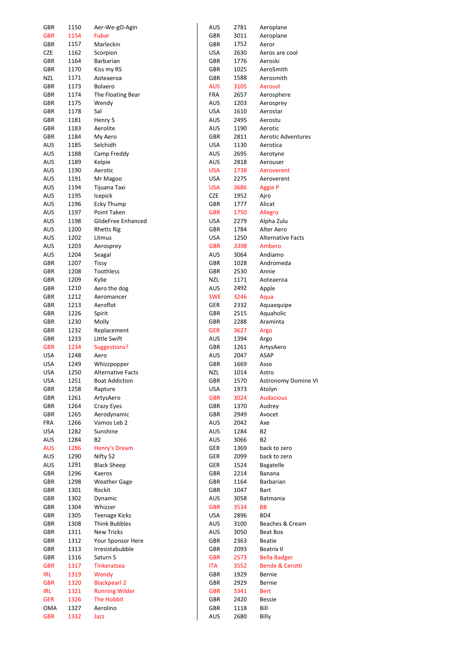| GBR               | 1150         | Aer-We-gO-Agin                             |
|-------------------|--------------|--------------------------------------------|
| <b>GBR</b>        | 1154         | Fubar                                      |
| GBR               | 1157         | Marleckin                                  |
| CZE               | 1162         | Scorpion                                   |
| GBR               | 1164         | Barbarian                                  |
| GBR               | 1170         | Kiss my RS                                 |
| NZL               | 1171         | Aoteaeroa                                  |
| GBR               | 1173         | Bolaero                                    |
| GBR               | 1174         | The Floating Bear                          |
| <b>GBR</b>        | 1175         | Wendy                                      |
| <b>GBR</b>        | 1178         | Sal                                        |
| GBR               | 1181         | Henry 5                                    |
| GBR               | 1183         | Aerolite                                   |
| GBR               | 1184         | My Aero                                    |
| AUS               | 1185         | Selchidh                                   |
| AUS               | 1188         | Camp Freddy                                |
| AUS               | 1189         | Kelpie                                     |
| AUS               | 1190         | Aerotic                                    |
| AUS               | 1191         | Mr Magoo                                   |
| AUS               | 1194         | Tijuana Taxi                               |
| AUS               | 1195         | Icepick                                    |
| AUS               | 1196         | Ecky Thump                                 |
| AUS               | 1197         | Point Taken                                |
| AUS               | 1198         | GlideFree Enhanced                         |
| AUS               | 1200         | <b>Rhetts Rig</b>                          |
| AUS               | 1202         | Litmus                                     |
| AUS               | 1203         | Aerosprey                                  |
| AUS               | 1204         | Seagal                                     |
| GBR               | 1207         | Tissy                                      |
| GBR               | 1208         | Toothless                                  |
| GBR               | 1209         | Kylie                                      |
| GBR               | 1210         | Aero the dog                               |
| GBR               | 1212         | Aeromancer                                 |
| GBR               | 1213         | Aeroflot                                   |
| GBR               | 1226         | Spirit                                     |
| GBR               | 1230         | Molly                                      |
| <b>GBR</b>        | 1232         | Replacement                                |
| GBR               | 1233         | Little Swift                               |
| <b>GBR</b>        | 1234         | Suggestions?                               |
| USA               | 1248         | Aero                                       |
| USA               | 1249         | Whizzpopper                                |
| USA               | 1250         | <b>Alternative Facts</b>                   |
| USA               | 1251         | <b>Boat Addiction</b>                      |
| GBR               | 1258         | Rapture                                    |
| GBR               | 1261         | ArtysAero                                  |
| <b>GBR</b>        | 1264         | <b>Crazy Eyes</b>                          |
| GBR               | 1265         | Aerodynamic                                |
| FRA               | 1266         | Vamos Leb 2                                |
| USA               | 1282         | Sunshine                                   |
| AUS               | 1284         | <b>B2</b>                                  |
| AUS               | 1286         | Henry's Dream                              |
| AUS               | 1290         | Nifty 52                                   |
| AUS               | 1291         | <b>Black Sheep</b>                         |
| GBR               | 1296         | Kaeros                                     |
| GBR               | 1298         | <b>Weather Gage</b>                        |
| GBR               | 1301         | Rockit                                     |
| GBR               | 1302         | Dynamic                                    |
| GBR               | 1304         | Whizzer                                    |
| GBR               | 1305         | Teenage Kicks                              |
| GBR               | 1308         | <b>Think Bubbles</b>                       |
|                   | 1311         | <b>New Tricks</b>                          |
| GBR<br>GBR        | 1312         |                                            |
|                   |              | Your Sponsor Here                          |
| GBR               | 1313<br>1316 | Irresistabubble<br>Saturn 5                |
| GBR               |              |                                            |
| <b>GBR</b>        | 1317         | <b>Tinkeratsea</b>                         |
| IRL<br><b>GBR</b> | 1319         | Wendy                                      |
|                   | 1320         | <b>Blackpearl 2</b>                        |
| IRL               | 1321         | <b>Running Wilder</b><br><b>The Hobbit</b> |
| <b>GER</b>        | 1326         | Aerolino                                   |
| OMA               | 1327         |                                            |
| <b>GBR</b>        | 1332         | Jazz                                       |

| AUS        | 2781         | Aeroplane                  |
|------------|--------------|----------------------------|
| GBR        | 3011         | Aeroplane                  |
| GBR        | 1752         | Aeror                      |
| USA        | 2630         | Aeros are cool             |
| GBR        | 1776         | Aeroski                    |
| GBR        | 1025         | AeroSmith                  |
| <b>GBR</b> | 1588         | Aerosmith                  |
|            |              |                            |
| AUS        | 3105         | Aerosol                    |
| FRA        | 2657         | Aerosphere                 |
| AUS        | 1203         | Aerosprey                  |
| USA        | 1610         | Aerostar                   |
| AUS        | 2495         | Aerostu                    |
| AUS        | 1190         | Aerotic                    |
| <b>GBR</b> | 2811         | <b>Aerotic Adventures</b>  |
| USA        | 1130         | Aerotica                   |
| AUS        | 2695         | Aerotyne                   |
| AUS        | 2818         | Aerouser                   |
| USA        | 1738         |                            |
|            |              | Aeroverent                 |
| USA        | 2275         | Aeroverent                 |
| <b>USA</b> | 3686         | <b>Aggie P</b>             |
| CZE        | 1952         | Ajro                       |
| GBR        | 1777         | Alicat                     |
| <b>GBR</b> | 1750         | Allegro                    |
| USA        | 2279         | Alpha Zulu                 |
| GBR        | 1784         | Alter Aero                 |
| USA        | 1250         | <b>Alternative Facts</b>   |
| <b>GBR</b> | 3398         | Ambero                     |
| AUS        | 3064         | Andiamo                    |
|            |              |                            |
| GBR        | 1028         | Andromeda                  |
| GBR        | 2530         | Annie                      |
| NZL        | 1171         | Aoteaeroa                  |
| AUS        | 2492         | Apple                      |
| <b>SWE</b> | 3246         | Aqua                       |
| GER        | 2332         | Aquaequipe                 |
| GBR        | 2515         | Aquaholic                  |
| GBR        | 2288         | Araminta                   |
| GER        | 3627         | Argo                       |
| AUS        | 1394         | Argo                       |
| GBR        | 1261         | ArtysAero                  |
|            |              |                            |
| AUS        | 2047         | ASAP                       |
| GBR        | 1669         | Asso                       |
| NZL        | 1014         | Astro                      |
| GBR        | 1570         | Astronomy Domine VI        |
| USA        | 1973         | Atolyn                     |
| <b>GBR</b> | 3024         | <b>Audacious</b>           |
| GBR        | 1370         | Audrey                     |
| GBR        | 2949         | Avocet                     |
| AUS        | 2042         | Axe                        |
| AUS        | 1284         | <b>B2</b>                  |
|            |              |                            |
| AUS        | 3066         | <b>B2</b>                  |
| GER        | 1369         | back to zero               |
| GER        | 2099         | back to zero               |
| GER        | 1524         | <b>Bagatelle</b>           |
| <b>GBR</b> | 2214         | Banana                     |
| GBR        | 1164         | Barbarian                  |
| GBR        | 1047         | Bart                       |
| AUS        | 3058         | Batmania                   |
| <b>GBR</b> | 3534         | ВB                         |
| USA        | 2896         | BD4                        |
|            |              |                            |
| AUS        | 3100         | Beaches & Cream            |
| AUS        | 3050         | Beat Box                   |
| GBR        | 2363         | <b>Beatie</b>              |
| GBR        | 2093         | <b>Beatrix II</b>          |
| <b>GBR</b> | 2573         | <b>Bella Badger</b>        |
| ITA        | 3552         | <b>Bende &amp; Cerotti</b> |
| GBR        | 1929         | Bernie                     |
| GBR        | 2929         | Bernie                     |
| <b>GBR</b> | 3341         | <b>Bert</b>                |
|            |              |                            |
| GBR        | 2420         | <b>Bessie</b>              |
| GBR        |              | Bill                       |
| AUS        | 1118<br>2680 | Billy                      |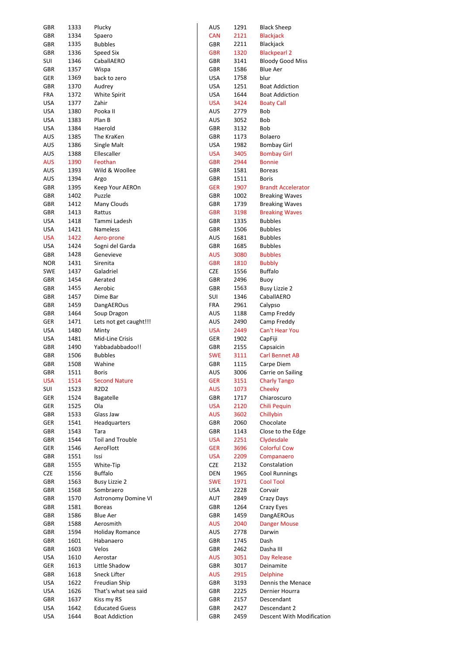| <b>GBR</b> | 1333 | Plucky                 | AUS        | 1291 | <b>Black Sheep</b>        |
|------------|------|------------------------|------------|------|---------------------------|
| GBR        | 1334 | Spaero                 | <b>CAN</b> | 2121 | <b>Blackjack</b>          |
| GBR        | 1335 | <b>Bubbles</b>         | GBR        | 2211 | Blackjack                 |
| GBR        | 1336 | Speed Six              | <b>GBR</b> | 1320 | <b>Blackpearl 2</b>       |
| SUI        | 1346 | CaballAERO             | GBR        | 3141 | <b>Bloody Good Miss</b>   |
| GBR        | 1357 | Wispa                  | GBR        | 1586 | <b>Blue Aer</b>           |
| GER        | 1369 | back to zero           | USA        | 1758 | blur                      |
|            |      |                        |            |      |                           |
| GBR        | 1370 | Audrey                 | USA        | 1251 | <b>Boat Addiction</b>     |
| <b>FRA</b> | 1372 | White Spirit           | <b>USA</b> | 1644 | <b>Boat Addiction</b>     |
| <b>USA</b> | 1377 | Zahir                  | <b>USA</b> | 3424 | <b>Boaty Call</b>         |
| <b>USA</b> | 1380 | Pooka II               | AUS        | 2779 | Bob                       |
| <b>USA</b> | 1383 | Plan B                 | AUS        | 3052 | Bob                       |
| <b>USA</b> | 1384 | Haerold                | GBR        | 3132 | Bob                       |
| AUS        | 1385 | The KraKen             | GBR        | 1173 | Bolaero                   |
| AUS        | 1386 | Single Malt            | USA        | 1982 | Bombay Girl               |
| AUS        | 1388 | Ellescaller            | <b>USA</b> | 3405 | <b>Bombay Girl</b>        |
| <b>AUS</b> | 1390 | Feothan                | <b>GBR</b> | 2944 | <b>Bonnie</b>             |
| AUS        | 1393 | Wild & Woollee         | GBR        | 1581 | <b>Boreas</b>             |
|            |      |                        |            |      |                           |
| AUS        | 1394 | Argo                   | GBR        | 1511 | <b>Boris</b>              |
| GBR        | 1395 | Keep Your AEROn        | <b>GER</b> | 1907 | <b>Brandt Accelerator</b> |
| GBR        | 1402 | Puzzle                 | <b>GBR</b> | 1002 | <b>Breaking Waves</b>     |
| GBR        | 1412 | Many Clouds            | GBR        | 1739 | <b>Breaking Waves</b>     |
| GBR        | 1413 | Rattus                 | GBR        | 3198 | <b>Breaking Waves</b>     |
| <b>USA</b> | 1418 | Tammi Ladesh           | GBR        | 1335 | <b>Bubbles</b>            |
| <b>USA</b> | 1421 | Nameless               | GBR        | 1506 | <b>Bubbles</b>            |
| <b>USA</b> | 1422 | Aero-prone             | AUS        | 1681 | <b>Bubbles</b>            |
| <b>USA</b> | 1424 | Sogni del Garda        | GBR        | 1685 | <b>Bubbles</b>            |
| GBR        | 1428 | Genevieve              | <b>AUS</b> | 3080 | <b>Bubbles</b>            |
|            |      |                        |            |      |                           |
| <b>NOR</b> | 1431 | Sirenita               | <b>GBR</b> | 1810 | <b>Bubbly</b>             |
| <b>SWE</b> | 1437 | Galadriel              | CZE        | 1556 | <b>Buffalo</b>            |
| GBR        | 1454 | Aerated                | GBR        | 2496 | Buoy                      |
| GBR        | 1455 | Aerobic                | GBR        | 1563 | <b>Busy Lizzie 2</b>      |
| GBR        | 1457 | Dime Bar               | SUI        | 1346 | CaballAERO                |
| GBR        | 1459 | DangAEROus             | <b>FRA</b> | 2961 | Calypso                   |
| GBR        | 1464 | Soup Dragon            | AUS        | 1188 | Camp Freddy               |
| GER        | 1471 | Lets not get caught!!! | AUS        | 2490 | Camp Freddy               |
| <b>USA</b> | 1480 | Minty                  | <b>USA</b> | 2449 | Can't Hear You            |
| <b>USA</b> | 1481 | Mid-Line Crisis        | GER        | 1902 | CapFiji                   |
| GBR        | 1490 | Yabbadabbadoo!!        | GBR        | 2155 | Capsaicin                 |
|            |      |                        |            |      |                           |
| GBR        | 1506 | <b>Bubbles</b>         | <b>SWE</b> | 3111 | <b>Carl Bennet AB</b>     |
| <b>GBR</b> | 1508 | Wahine                 | GBR        | 1115 | Carpe Diem                |
| GBR        | 1511 | Boris                  | AUS        | 3006 | Carrie on Sailing         |
| <b>USA</b> | 1514 | <b>Second Nature</b>   | <b>GER</b> | 3151 | <b>Charly Tango</b>       |
| SUI        | 1523 | R2D2                   | <b>AUS</b> | 1073 | Cheeky                    |
| GER        | 1524 | Bagatelle              | GBR        | 1717 | Chiaroscuro               |
| GER        | 1525 | Ola                    | <b>USA</b> | 2120 | Chili Pequin              |
| GBR        | 1533 | Glass Jaw              | <b>AUS</b> | 3602 | Chillybin                 |
| GER        | 1541 | Headquarters           | <b>GBR</b> | 2060 | Chocolate                 |
| GBR        | 1543 | Tara                   | GBR        | 1143 | Close to the Edge         |
| GBR        | 1544 | Toil and Trouble       | <b>USA</b> | 2251 | Clydesdale                |
|            |      |                        |            |      | <b>Colorful Cow</b>       |
| GER        | 1546 | AeroFlott              | <b>GER</b> | 3696 |                           |
| GBR        | 1551 | Issi                   | <b>USA</b> | 2209 | Companaero                |
| GBR        | 1555 | White-Tip              | CZE        | 2132 | Constalation              |
| <b>CZE</b> | 1556 | <b>Buffalo</b>         | DEN        | 1965 | <b>Cool Runnings</b>      |
| GBR        | 1563 | <b>Busy Lizzie 2</b>   | <b>SWE</b> | 1971 | <b>Cool Tool</b>          |
| GBR        | 1568 | Sombraero              | <b>USA</b> | 2228 | Corvair                   |
| GBR        | 1570 | Astronomy Domine VI    | AUT        | 2849 | Crazy Days                |
| GBR        | 1581 | <b>Boreas</b>          | <b>GBR</b> | 1264 | Crazy Eyes                |
| GBR        | 1586 | Blue Aer               | GBR        | 1459 | DangAEROus                |
| GBR        | 1588 | Aerosmith              | <b>AUS</b> | 2040 | <b>Danger Mouse</b>       |
| GBR        | 1594 | <b>Holiday Romance</b> | AUS        | 2778 | Darwin                    |
|            |      |                        |            |      |                           |
| GBR        | 1601 | Habanaero              | GBR        | 1745 | Dash                      |
| GBR        | 1603 | Velos                  | GBR        | 2462 | Dasha III                 |
| <b>USA</b> | 1610 | Aerostar               | <b>AUS</b> | 3051 | Day Release               |
| GER        | 1613 | Little Shadow          | GBR        | 3017 | Deinamite                 |
| GBR        | 1618 | Sneck Lifter           | <b>AUS</b> | 2915 | <b>Delphine</b>           |
| <b>USA</b> | 1622 | Freudian Ship          | GBR        | 3193 | Dennis the Menace         |
| <b>USA</b> | 1626 | That's what sea said   | GBR        | 2225 | Dernier Hourra            |
| GBR        | 1637 | Kiss my RS             | GBR        | 2157 | Descendant                |
| <b>USA</b> | 1642 | <b>Educated Guess</b>  | GBR        | 2427 | Descendant 2              |
| <b>USA</b> | 1644 | <b>Boat Addiction</b>  | GBR        | 2459 | Descent With Modification |
|            |      |                        |            |      |                           |

| AUS        | 1291 | <b>Black Sheep</b>        |
|------------|------|---------------------------|
| CAN        | 2121 | Blackjack                 |
| GBR        | 2211 | Blackjack                 |
| <b>GBR</b> | 1320 | <b>Blackpearl 2</b>       |
| GBR        | 3141 | <b>Bloody Good Miss</b>   |
| GBR        | 1586 | <b>Blue Aer</b>           |
|            |      |                           |
| JSA        | 1758 | blur                      |
| JSA        | 1251 | <b>Boat Addiction</b>     |
| JSA        | 1644 | <b>Boat Addiction</b>     |
| JSA        | 3424 | <b>Boaty Call</b>         |
| ۹US        | 2779 | Bob                       |
| AUS        | 3052 | Bob                       |
| GBR        | 3132 | Bob                       |
|            |      |                           |
| GBR        | 1173 | Bolaero                   |
| JSA        | 1982 | <b>Bombay Girl</b>        |
| JSA        | 3405 | <b>Bombay Girl</b>        |
| GBR        | 2944 | <b>Bonnie</b>             |
| GBR        | 1581 | <b>Boreas</b>             |
| GBR        | 1511 | <b>Boris</b>              |
| <b>GER</b> | 1907 | <b>Brandt Accelerator</b> |
| GBR        | 1002 |                           |
|            |      | <b>Breaking Waves</b>     |
| GBR        | 1739 | <b>Breaking Waves</b>     |
| GBR        | 3198 | <b>Breaking Waves</b>     |
| GBR        | 1335 | <b>Bubbles</b>            |
| GBR        | 1506 | <b>Bubbles</b>            |
| AUS        | 1681 | <b>Bubbles</b>            |
| GBR        | 1685 | <b>Bubbles</b>            |
| ۹US        |      |                           |
|            | 3080 | <b>Bubbles</b>            |
| GBR        | 1810 | <b>Bubbly</b>             |
| 2ZE        | 1556 | <b>Buffalo</b>            |
| GBR        | 2496 | Buoy                      |
| GBR        | 1563 | <b>Busy Lizzie 2</b>      |
| SUI        | 1346 | CaballAERO                |
| FRA        | 2961 | Calypso                   |
| AUS        | 1188 | Camp Freddy               |
|            |      |                           |
| AUS        | 2490 | Camp Freddy               |
| JSA        | 2449 | <b>Can't Hear You</b>     |
| GER        | 1902 | CapFiji                   |
| GBR        | 2155 | Capsaicin                 |
| <b>SWE</b> | 3111 | <b>Carl Bennet AB</b>     |
| GBR        | 1115 | Carpe Diem                |
| ۹US        | 3006 | Carrie on Sailing         |
| GER        | 3151 | <b>Charly Tango</b>       |
|            |      |                           |
| ۹US        | 1073 | Cheeky                    |
| <b>GBR</b> | 1717 | Chiaroscuro               |
| JSA        | 2120 | <b>Chili Pequin</b>       |
| ۹US        | 3602 | Chillybin                 |
| GBR        | 2060 | Chocolate                 |
| GBR        | 1143 | Close to the Edge         |
| JSA        | 2251 | Clydesdale                |
| GER        | 3696 | <b>Colorful Cow</b>       |
| JSA        |      | Companaero                |
|            | 2209 |                           |
| 2ZE        | 2132 | Constalation              |
| DEN        | 1965 | <b>Cool Runnings</b>      |
| swe        | 1971 | <b>Cool Tool</b>          |
| JSA        | 2228 | Corvair                   |
| ۹UT        | 2849 | Crazy Days                |
| GBR        | 1264 | Crazy Eyes                |
| GBR        | 1459 | DangAEROus                |
|            |      |                           |
| AUS        | 2040 | <b>Danger Mouse</b>       |
| AUS        | 2778 | Darwin                    |
| GBR        | 1745 | Dash                      |
| GBR        | 2462 | Dasha III                 |
| ۹US        | 3051 | Day Release               |
| GBR        | 3017 | Deinamite                 |
| ۹US        | 2915 | <b>Delphine</b>           |
| GBR        | 3193 | Dennis the Menace         |
|            |      |                           |
| GBR        | 2225 | Dernier Hourra            |
| GBR        | 2157 | Descendant                |
| GBR        | 2427 | Descendant 2              |
| GBR        | 2459 | Descent With Mod          |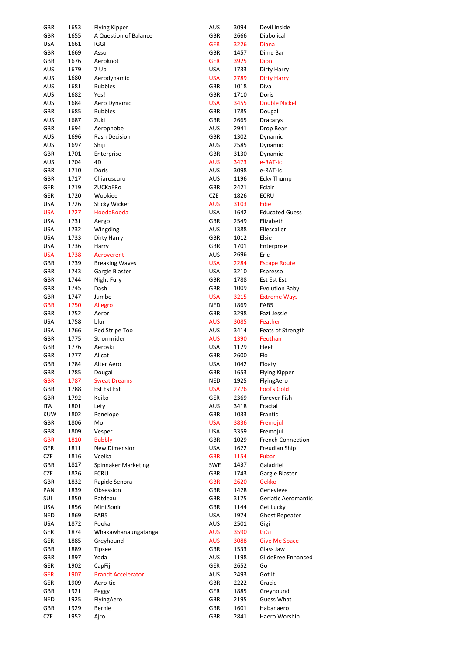| GBR        | 1653 | <b>Flying Kipper</b>      | AUS        | 3094 | Devil Inside             |
|------------|------|---------------------------|------------|------|--------------------------|
| GBR        | 1655 | A Question of Balance     | GBR        | 2666 | Diabolical               |
| <b>USA</b> | 1661 | <b>IGGI</b>               | <b>GER</b> | 3226 | Diana                    |
| GBR        | 1669 | Asso                      | <b>GBR</b> | 1457 | Dime Bar                 |
| GBR        | 1676 | Aeroknot                  | <b>GER</b> | 3925 | Dion                     |
| AUS        | 1679 | 7 Up                      | <b>USA</b> | 1733 | Dirty Harry              |
| AUS        | 1680 | Aerodynamic               | <b>USA</b> | 2789 | <b>Dirty Harry</b>       |
|            |      |                           |            |      |                          |
| AUS        | 1681 | <b>Bubbles</b>            | GBR        | 1018 | Diva                     |
| AUS        | 1682 | Yes!                      | GBR        | 1710 | Doris                    |
| AUS        | 1684 | Aero Dynamic              | <b>USA</b> | 3455 | <b>Double Nickel</b>     |
| <b>GBR</b> | 1685 | <b>Bubbles</b>            | GBR        | 1785 | Dougal                   |
| aus        | 1687 | Zuki                      | GBR        | 2665 | Dracarys                 |
| GBR        | 1694 | Aerophobe                 | AUS        | 2941 | Drop Bear                |
| AUS        | 1696 | <b>Rash Decision</b>      | GBR        | 1302 | Dynamic                  |
| AUS        | 1697 | Shiji                     | AUS        | 2585 | Dynamic                  |
| GBR        | 1701 | Enterprise                | GBR        | 3130 | Dynamic                  |
| AUS        | 1704 | 4D                        | <b>AUS</b> | 3473 | e-RAT-ic                 |
| GBR        | 1710 | Doris                     | AUS        | 3098 | e-RAT-ic                 |
| GBR        | 1717 | Chiaroscuro               | AUS        | 1196 | <b>Ecky Thump</b>        |
| GER        | 1719 | ZUCKaERo                  | GBR        | 2421 | Eclair                   |
| GER        | 1720 | Wookiee                   | CZE        | 1826 | <b>ECRU</b>              |
|            |      |                           |            |      |                          |
| <b>USA</b> | 1726 | <b>Sticky Wicket</b>      | <b>AUS</b> | 3103 | Edie                     |
| <b>USA</b> | 1727 | HoodaBooda                | <b>USA</b> | 1642 | <b>Educated Guess</b>    |
| <b>USA</b> | 1731 | Aergo                     | GBR        | 2549 | Elizabeth                |
| <b>USA</b> | 1732 | Wingding                  | AUS        | 1388 | Ellescaller              |
| <b>USA</b> | 1733 | Dirty Harry               | GBR        | 1012 | Elsie                    |
| <b>USA</b> | 1736 | Harry                     | GBR        | 1701 | Enterprise               |
| <b>USA</b> | 1738 | Aeroverent                | AUS        | 2696 | Eric                     |
| GBR        | 1739 | <b>Breaking Waves</b>     | <b>USA</b> | 2284 | <b>Escape Route</b>      |
| GBR        | 1743 | Gargle Blaster            | <b>USA</b> | 3210 | Espresso                 |
| GBR        | 1744 | Night Fury                | GBR        | 1788 | Est Est Est              |
| GBR        | 1745 | Dash                      | GBR        |      |                          |
|            |      |                           |            | 1009 | Evolution Baby           |
| GBR        | 1747 | Jumbo                     | <b>USA</b> | 3215 | <b>Extreme Ways</b>      |
| <b>GBR</b> | 1750 | Allegro                   | <b>NED</b> | 1869 | FAB5                     |
| GBR        | 1752 | Aeror                     | GBR        | 3298 | <b>Fazt Jessie</b>       |
| <b>USA</b> | 1758 | blur                      | <b>AUS</b> | 3085 | Feather                  |
| USA        | 1766 | Red Stripe Too            | AUS        | 3414 | Feats of Strength        |
| GBR        | 1775 | Strormrider               | <b>AUS</b> | 1390 | Feothan                  |
| GBR        | 1776 | Aeroski                   | <b>USA</b> | 1129 | Fleet                    |
| GBR        | 1777 | Alicat                    | GBR        | 2600 | Flo                      |
| <b>GBR</b> | 1784 | Alter Aero                | <b>USA</b> | 1042 | Floaty                   |
| GBR        | 1785 | Dougal                    | GBR        | 1653 | Flying Kipper            |
| <b>GBR</b> | 1787 | <b>Sweat Dreams</b>       | <b>NED</b> | 1925 | FlyingAero               |
| GBR        | 1788 | Est Est Est               | <b>USA</b> | 2776 | <b>Fool's Gold</b>       |
| GBR        | 1792 | Keiko                     | GER        | 2369 | Forever Fish             |
|            |      |                           |            |      |                          |
| ITA        | 1801 | Lety                      | <b>AUS</b> | 3418 | Fractal                  |
| <b>KUW</b> | 1802 | Penelope                  | GBR        | 1033 | Frantic                  |
| GBR        | 1806 | Mo                        | <b>USA</b> | 3836 | Fremojul                 |
| GBR        | 1809 | Vesper                    | <b>USA</b> | 3359 | Fremojul                 |
| <b>GBR</b> | 1810 | <b>Bubbly</b>             | GBR        | 1029 | <b>French Connection</b> |
| <b>GER</b> | 1811 | New Dimension             | <b>USA</b> | 1622 | Freudian Ship            |
| CZE        | 1816 | Vcelka                    | <b>GBR</b> | 1154 | Fubar                    |
| GBR        | 1817 | Spinnaker Marketing       | <b>SWE</b> | 1437 | Galadriel                |
| CZE        | 1826 | <b>ECRU</b>               | GBR        | 1743 | Gargle Blaster           |
| GBR        | 1832 | Rapide Senora             | <b>GBR</b> | 2620 | <b>Gekko</b>             |
| PAN        | 1839 | Obsession                 | GBR        | 1428 | Genevieve                |
| SUI        | 1850 | Ratdeau                   | GBR        | 3175 | Geriatic Aeromantic      |
|            |      |                           |            |      |                          |
| <b>USA</b> | 1856 | Mini Sonic                | GBR        | 1144 | Get Lucky                |
| <b>NED</b> | 1869 | FAB5                      | <b>USA</b> | 1974 | <b>Ghost Repeater</b>    |
| <b>USA</b> | 1872 | Pooka                     | AUS        | 2501 | Gigi                     |
| GER        | 1874 | Whakawhanaungatanga       | <b>AUS</b> | 3590 | GiGi                     |
| GER        | 1885 | Greyhound                 | <b>AUS</b> | 3088 | <b>Give Me Space</b>     |
| GBR        | 1889 | <b>Tipsee</b>             | GBR        | 1533 | Glass Jaw                |
| GBR        | 1897 | Yoda                      | AUS        | 1198 | GlideFree Enhanced       |
| GER        | 1902 | CapFiji                   | GER        | 2652 | Go                       |
| <b>GER</b> | 1907 | <b>Brandt Accelerator</b> | <b>AUS</b> | 2493 | Got It                   |
| GER        | 1909 | Aero-tic                  | GBR        | 2222 | Gracie                   |
| GBR        | 1921 | Peggy                     | GER        | 1885 | Greyhound                |
| <b>NED</b> | 1925 | FlyingAero                | GBR        | 2195 | Guess What               |
|            |      |                           |            |      |                          |
| GBR        | 1929 | Bernie                    | GBR        | 1601 | Habanaero                |
| <b>CZE</b> | 1952 | Ajro                      | GBR        | 2841 | Haero Worship            |

| AUS        | 3094 | Devil Inside             |
|------------|------|--------------------------|
| GBR        | 2666 | Diabolical               |
| <b>GER</b> | 3226 | Diana                    |
| GBR        | 1457 | Dime Bar                 |
| GER        | 3925 | Dion                     |
| USA        | 1733 | Dirty Harry              |
| USA        | 2789 | <b>Dirty Harry</b>       |
| GBR        | 1018 | Diva                     |
| GBR        | 1710 | Doris                    |
| USA        | 3455 | <b>Double Nickel</b>     |
| GBR        | 1785 | Dougal                   |
| GBR        | 2665 | Dracarys                 |
| AUS        | 2941 | Drop Bear                |
| GBR        | 1302 | Dynamic                  |
| AUS        | 2585 | Dynamic                  |
| GBR        | 3130 | Dynamic                  |
| AUS        | 3473 | e-RAT-ic                 |
| AUS        | 3098 | e-RAT-ic                 |
| AUS        | 1196 | Ecky Thump               |
| GBR        | 2421 | Eclair                   |
|            | 1826 | ECRU                     |
| CZE        |      | Edie                     |
| AUS        | 3103 |                          |
| USA        | 1642 | <b>Educated Guess</b>    |
| GBR        | 2549 | Elizabeth                |
| AUS        | 1388 | Ellescaller              |
| GBR        | 1012 | Elsie                    |
| GBR        | 1701 | Enterprise               |
| AUS        | 2696 | Eric                     |
| USA        | 2284 | <b>Escape Route</b>      |
| USA        | 3210 | Espresso                 |
| GBR        | 1788 | Est Est Est              |
| GBR        | 1009 | <b>Evolution Baby</b>    |
| USA        | 3215 | <b>Extreme Ways</b>      |
| NED        | 1869 | FAB5                     |
| GBR        | 3298 | <b>Fazt Jessie</b>       |
| AUS        | 3085 | Feather                  |
| AUS        | 3414 | Feats of Strength        |
| AUS        | 1390 | Feothan                  |
| USA        | 1129 | Fleet                    |
| GBR        | 2600 | Flo                      |
| USA        | 1042 | Floaty                   |
| GBR        | 1653 | Flying Kipper            |
| NED        | 1925 | FlyingAero               |
| <b>USA</b> | 2776 | <b>Fool's Gold</b>       |
| ger        | 2369 | Forever Fish             |
| AUS        | 3418 | Fractal                  |
| GBR        | 1033 | Frantic                  |
| USA        | 3836 | Fremojul                 |
| USA        | 3359 | Fremojul                 |
| GBR        | 1029 | <b>French Connection</b> |
| USA        | 1622 | Freudian Ship            |
|            | 1154 |                          |
| GBR        |      | Fubar                    |
| SWE        | 1437 | Galadriel                |
| GBR        | 1743 | Gargle Blaster           |
| <b>GBR</b> | 2620 | Gekko                    |
| GBR        | 1428 | Genevieve                |
| GBR        | 3175 | Geriatic Aeromanti       |
| GBR        | 1144 | Get Lucky                |
| USA        | 1974 | <b>Ghost Repeater</b>    |
| AUS        | 2501 | Gigi                     |
| AUS        | 3590 | GiGi                     |
| AUS        | 3088 | <b>Give Me Space</b>     |
| GBR        | 1533 | Glass Jaw                |
| AUS        | 1198 | GlideFree Enhance        |
| ger        | 2652 | Go                       |
| AUS        | 2493 | Got It                   |
| GBR        | 2222 | Gracie                   |
| GER        | 1885 | Greyhound                |
| GBR        | 2195 | <b>Guess What</b>        |
| GBR        | 1601 | Habanaero                |
| GBR        | 2841 | Haero Worship            |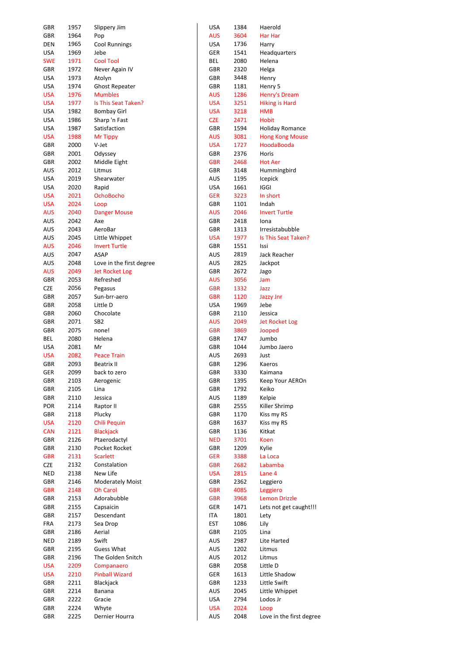| GBR        | 1957 | Slippery Jim             | USA        | 1384 | Haerold                  |
|------------|------|--------------------------|------------|------|--------------------------|
| GBR        | 1964 | Pop                      | <b>AUS</b> | 3604 | Har Har                  |
| <b>DEN</b> | 1965 | <b>Cool Runnings</b>     | USA        | 1736 | Harry                    |
| <b>USA</b> | 1969 | Jebe                     | GER        | 1541 | Headquarters             |
| <b>SWE</b> | 1971 | <b>Cool Tool</b>         | BEL        | 2080 | Helena                   |
| GBR        | 1972 | Never Again IV           | GBR        | 2320 | Helga                    |
| <b>USA</b> | 1973 | Atolyn                   | GBR        | 3448 |                          |
|            |      |                          |            |      | Henry                    |
| <b>USA</b> | 1974 | <b>Ghost Repeater</b>    | GBR        | 1181 | Henry 5                  |
| <b>USA</b> | 1976 | <b>Mumbles</b>           | AUS        | 1286 | Henry's Dream            |
| <b>USA</b> | 1977 | Is This Seat Taken?      | <b>USA</b> | 3251 | <b>Hiking is Hard</b>    |
| <b>USA</b> | 1982 | <b>Bombay Girl</b>       | <b>USA</b> | 3218 | <b>HMB</b>               |
| <b>USA</b> | 1986 | Sharp 'n Fast            | <b>CZE</b> | 2471 | <b>Hobit</b>             |
| <b>USA</b> | 1987 | Satisfaction             | GBR        | 1594 | <b>Holiday Romance</b>   |
| <b>USA</b> | 1988 | <b>Mr Tippy</b>          | AUS        | 3081 | <b>Hong Kong Mouse</b>   |
| GBR        | 2000 | V-Jet                    | <b>USA</b> | 1727 | HoodaBooda               |
| GBR        | 2001 | Odyssey                  | GBR        | 2376 | Horis                    |
| GBR        | 2002 | Middle Eight             | <b>GBR</b> | 2468 | <b>Hot Aer</b>           |
| AUS        | 2012 | Litmus                   | GBR        | 3148 | Hummingbird              |
| <b>USA</b> | 2019 | Shearwater               | AUS        | 1195 | Icepick                  |
| <b>USA</b> | 2020 | Rapid                    | <b>USA</b> | 1661 | <b>IGGI</b>              |
| <b>USA</b> | 2021 | <b>OchoBocho</b>         | <b>GER</b> | 3223 | In short                 |
| <b>USA</b> | 2024 |                          | GBR        | 1101 | Indah                    |
|            |      | Loop                     |            |      |                          |
| <b>AUS</b> | 2040 | <b>Danger Mouse</b>      | <b>AUS</b> | 2046 | <b>Invert Turtle</b>     |
| AUS        | 2042 | Axe                      | GBR        | 2418 | Iona                     |
| AUS        | 2043 | AeroBar                  | GBR        | 1313 | Irresistabubble          |
| <b>AUS</b> | 2045 | Little Whippet           | <b>USA</b> | 1977 | Is This Seat Taken?      |
| <b>AUS</b> | 2046 | <b>Invert Turtle</b>     | GBR        | 1551 | Issi                     |
| AUS        | 2047 | <b>ASAP</b>              | AUS        | 2819 | Jack Reacher             |
| AUS        | 2048 | Love in the first degree | AUS        | 2825 | Jackpot                  |
| <b>AUS</b> | 2049 | <b>Jet Rocket Log</b>    | GBR        | 2672 | Jago                     |
| GBR        | 2053 | Refreshed                | AUS        | 3056 | Jam                      |
| CZE        | 2056 | Pegasus                  | <b>GBR</b> | 1332 | Jazz                     |
| GBR        | 2057 | Sun-brr-aero             | <b>GBR</b> | 1120 | <b>Jazzy Jnr</b>         |
| GBR        | 2058 | Little D                 | USA        | 1969 | Jebe                     |
| GBR        | 2060 | Chocolate                | GBR        | 2110 | Jessica                  |
| GBR        | 2071 | SB <sub>2</sub>          | AUS        | 2049 | Jet Rocket Log           |
|            | 2075 | none!                    | <b>GBR</b> |      |                          |
| GBR        |      |                          |            | 3869 | Jooped                   |
| BEL        | 2080 | Helena                   | GBR        | 1747 | Jumbo                    |
| <b>USA</b> | 2081 | Mr                       | GBR        | 1044 | Jumbo Jaero              |
| <b>USA</b> | 2082 | <b>Peace Train</b>       | AUS        | 2693 | Just                     |
| <b>GBR</b> | 2093 | Beatrix II               | GBR        | 1296 | Kaeros                   |
| ger        | 2099 | back to zero             | GBR        | 3330 | Kaimana                  |
| GBR        | 2103 | Aerogenic                | GBR        | 1395 | Keep Your AEROn          |
| GBR        | 2105 | Lina                     | GBR        | 1792 | Keiko                    |
| GBR        | 2110 | Jessica                  | AUS        | 1189 | Kelpie                   |
| <b>POR</b> | 2114 | Raptor II                | GBR        | 2555 | Killer Shrimp            |
| GBR        | 2118 | Plucky                   | GBR        | 1170 | Kiss my RS               |
| <b>USA</b> | 2120 | Chili Pequin             | GBR        | 1637 | Kiss my RS               |
| <b>CAN</b> | 2121 | <b>Blackjack</b>         | GBR        | 1136 | Kitkat                   |
| GBR        | 2126 | Ptaerodactyl             | <b>NED</b> | 3701 | Koen                     |
| GBR        | 2130 | Pocket Rocket            | GBR        | 1209 | Kylie                    |
| <b>GBR</b> | 2131 | <b>Scarlett</b>          | <b>GER</b> | 3388 | La Loca                  |
|            |      |                          |            |      |                          |
| CZE        | 2132 | Constalation             | <b>GBR</b> | 2682 | Labamba                  |
| <b>NED</b> | 2138 | New Life                 | <b>USA</b> | 2815 | Lane 4                   |
| GBR        | 2146 | <b>Moderately Moist</b>  | GBR        | 2362 | Leggiero                 |
| <b>GBR</b> | 2148 | Oh Carol                 | <b>GBR</b> | 4085 | Leggiero                 |
| GBR        | 2153 | Adorabubble              | <b>GBR</b> | 3968 | <b>Lemon Drizzle</b>     |
| GBR        | 2155 | Capsaicin                | GER        | 1471 | Lets not get caught!!!   |
| GBR        | 2157 | Descendant               | ITA        | 1801 | Lety                     |
| FRA        | 2173 | Sea Drop                 | EST        | 1086 | Lily                     |
| GBR        | 2186 | Aerial                   | GBR        | 2105 | Lina                     |
| <b>NED</b> | 2189 | Swift                    | AUS        | 2987 | Lite Harted              |
| GBR        | 2195 | Guess What               | AUS        | 1202 | Litmus                   |
| GBR        | 2196 | The Golden Snitch        | AUS        | 2012 | Litmus                   |
| <b>USA</b> | 2209 | Companaero               | GBR        | 2058 | Little D                 |
|            |      |                          |            |      |                          |
| <b>USA</b> | 2210 | <b>Pinball Wizard</b>    | GER        | 1613 | Little Shadow            |
| GBR        | 2211 | Blackjack                | GBR        | 1233 | Little Swift             |
| GBR        | 2214 | Banana                   | AUS        | 2045 | Little Whippet           |
| GBR        | 2222 | Gracie                   | USA        | 2794 | Lodos Jr                 |
| GBR        | 2224 | Whyte                    | <b>USA</b> | 2024 | Loop                     |
| GBR        | 2225 | Dernier Hourra           | AUS        | 2048 | Love in the first degree |

| USA        | 1384         | Haerold                 |
|------------|--------------|-------------------------|
| AUS        | 3604         | Har Har                 |
| USA        | 1736         | Harry                   |
| GER        | 1541         | Headquarters            |
| BEL        | 2080         | Helena                  |
| GBR        | 2320         | Helga                   |
| GBR        | 3448         | Henry                   |
| GBR        | 1181         | Henry 5                 |
| AUS        | 1286         | Henry's Dream           |
| <b>USA</b> | 3251         | <b>Hiking is Hard</b>   |
| USA        | 3218         | <b>HMB</b>              |
| <b>CZE</b> | 2471         | <b>Hobit</b>            |
| GBR        | 1594         | <b>Holiday Romance</b>  |
| <b>AUS</b> | 3081         | <b>Hong Kong Mouse</b>  |
| USA        | 1727         | HoodaBooda              |
| GBR        | 2376         | Horis                   |
| <b>GBR</b> | 2468         | <b>Hot Aer</b>          |
| GBR        | 3148         | Hummingbird             |
| AUS        | 1195         | Icepick                 |
| USA        | 1661         | IGGI                    |
| <b>GER</b> | 3223         | In short                |
| GBR        | 1101         | Indah                   |
| AUS        | 2046         | <b>Invert Turtle</b>    |
| GBR        | 2418         | lona                    |
| GBR        | 1313         | Irresistabubble         |
| USA        | 1977         | Is This Seat Taken?     |
| GBR        | 1551         | Issi                    |
| AUS        | 2819         | Jack Reacher            |
| AUS        | 2825         | Jackpot                 |
| <b>GBR</b> | 2672         | Jago                    |
| <b>AUS</b> | 3056         | Jam                     |
| <b>GBR</b> | 1332         | Jazz                    |
| <b>GBR</b> | 1120         | <b>Jazzy Jnr</b>        |
| USA        | 1969         | Jebe                    |
| GBR        | 2110<br>2049 | Jessica                 |
| <b>AUS</b> |              | <b>Jet Rocket Log</b>   |
| GBR<br>GBR | 3869<br>1747 | Jooped<br>Jumbo         |
| GBR        | 1044         | Jumbo Jaero             |
| AUS        | 2693         | Just                    |
| GBR        | 1296         | Kaeros                  |
| GBR        | 3330         | Kaimana                 |
| GBR        | 1395         | Keep Your AEROn         |
| GBR        | 1792         | Keiko                   |
| aus        | 1189         | Kelpie                  |
| GBR        | 2555         | Killer Shrimp           |
| GBR        | 1170         | Kiss my RS              |
| GBR        | 1637         | Kiss my RS              |
| GBR        | 1136         | Kitkat                  |
| NED        | 3701         | <b>Koen</b>             |
| GBR        | 1209         | Kylie                   |
| <b>GER</b> | 3388         | La Loca                 |
| GBR        | 2682         | Labamba                 |
| <b>USA</b> | 2815         | Lane 4                  |
| GBR        | 2362         | Leggiero                |
| <b>GBR</b> | 4085         | Leggiero                |
| <b>GBR</b> | 3968         | <b>Lemon Drizzle</b>    |
| GER        | 1471         | Lets not get caught!!   |
| ITA        | 1801         | Lety                    |
| <b>EST</b> | 1086         | Lily                    |
| GBR        | 2105         | Lina                    |
| aus        | 2987         | Lite Harted             |
| AUS        | 1202         | Litmus                  |
| AUS        | 2012         | Litmus                  |
| GBR        | 2058         | Little D                |
| GER        | 1613         | Little Shadow           |
| GBR        | 1233         | Little Swift            |
| AUS        | 2045         | Little Whippet          |
| USA        | 2794         | Lodos Jr                |
| <b>USA</b> | 2024         | Loop                    |
| <b>AUS</b> | 2048         | Love in the first degre |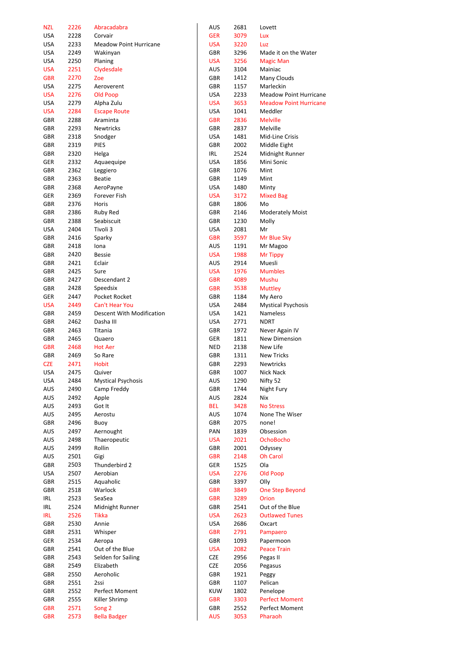| <b>NZL</b> | 2226 | Abracadabra                   | AUS        | 2681 | Lovett                        |
|------------|------|-------------------------------|------------|------|-------------------------------|
| <b>USA</b> | 2228 | Corvair                       | <b>GER</b> | 3079 | Lux                           |
| <b>USA</b> | 2233 | <b>Meadow Point Hurricane</b> | <b>USA</b> | 3220 | Luz                           |
| <b>USA</b> | 2249 | Wakinyan                      | GBR        | 3296 | Made it on the Water          |
| <b>USA</b> | 2250 | Planing                       | <b>USA</b> | 3256 | <b>Magic Man</b>              |
| <b>USA</b> | 2251 | Clydesdale                    | AUS        | 3104 | Mainiac                       |
| <b>GBR</b> | 2270 | Zoe                           | GBR        | 1412 | Many Clouds                   |
|            |      |                               | GBR        |      |                               |
| <b>USA</b> | 2275 | Aeroverent                    |            | 1157 | Marleckin                     |
| <b>USA</b> | 2276 | Old Poop                      | <b>USA</b> | 2233 | <b>Meadow Point Hurricane</b> |
| <b>USA</b> | 2279 | Alpha Zulu                    | <b>USA</b> | 3653 | <b>Meadow Point Hurricane</b> |
| <b>USA</b> | 2284 | <b>Escape Route</b>           | <b>USA</b> | 1041 | Meddler                       |
| GBR        | 2288 | Araminta                      | <b>GBR</b> | 2836 | <b>Melville</b>               |
| GBR        | 2293 | <b>Newtricks</b>              | GBR        | 2837 | Melville                      |
| GBR        | 2318 | Snodger                       | <b>USA</b> | 1481 | Mid-Line Crisis               |
| GBR        | 2319 | <b>PIES</b>                   | GBR        | 2002 | Middle Eight                  |
| GBR        | 2320 | Helga                         | IRL        | 2524 | Midnight Runner               |
| GER        | 2332 | Aquaequipe                    | <b>USA</b> | 1856 | Mini Sonic                    |
| GBR        | 2362 | Leggiero                      | GBR        | 1076 | Mint                          |
| GBR        | 2363 | <b>Beatie</b>                 | GBR        | 1149 | Mint                          |
| GBR        | 2368 | AeroPayne                     | <b>USA</b> | 1480 | Minty                         |
| GER        | 2369 | Forever Fish                  | <b>USA</b> | 3172 | <b>Mixed Bag</b>              |
| GBR        | 2376 | Horis                         | GBR        | 1806 | Mo                            |
|            |      |                               |            |      |                               |
| GBR        | 2386 | <b>Ruby Red</b>               | GBR        | 2146 | <b>Moderately Moist</b>       |
| GBR        | 2388 | Seabiscuit                    | GBR        | 1230 | Molly                         |
| <b>USA</b> | 2404 | Tivoli 3                      | <b>USA</b> | 2081 | Mr                            |
| GBR        | 2416 | Sparky                        | <b>GBR</b> | 3597 | Mr Blue Sky                   |
| GBR        | 2418 | Iona                          | AUS        | 1191 | Mr Magoo                      |
| GBR        | 2420 | <b>Bessie</b>                 | <b>USA</b> | 1988 | Mr Tippy                      |
| GBR        | 2421 | Eclair                        | <b>AUS</b> | 2914 | Muesli                        |
| GBR        | 2425 | Sure                          | <b>USA</b> | 1976 | <b>Mumbles</b>                |
| GBR        | 2427 | Descendant 2                  | <b>GBR</b> | 4089 | <b>Mushu</b>                  |
| GBR        | 2428 | Speedsix                      | <b>GBR</b> | 3538 | <b>Muttley</b>                |
| GER        | 2447 | Pocket Rocket                 | GBR        | 1184 | My Aero                       |
| <b>USA</b> | 2449 | <b>Can't Hear You</b>         | <b>USA</b> | 2484 | <b>Mystical Psychosis</b>     |
| GBR        | 2459 | Descent With Modification     | <b>USA</b> | 1421 | Nameless                      |
| GBR        | 2462 | Dasha III                     | <b>USA</b> | 2771 | <b>NDRT</b>                   |
| GBR        | 2463 | Titania                       | GBR        | 1972 |                               |
|            |      |                               |            |      | Never Again IV                |
| GBR        | 2465 | Quaero                        | GER        | 1811 | New Dimension                 |
| <b>GBR</b> | 2468 | <b>Hot Aer</b>                | <b>NED</b> | 2138 | New Life                      |
| GBR        | 2469 | So Rare                       | GBR        | 1311 | <b>New Tricks</b>             |
| <b>CZE</b> | 2471 | <b>Hobit</b>                  | GBR        | 2293 | <b>Newtricks</b>              |
| USA        | 2475 | Quiver                        | GBR        | 1007 | Nick Nack                     |
| <b>USA</b> | 2484 | <b>Mystical Psychosis</b>     | AUS        | 1290 | Nifty 52                      |
| AUS        | 2490 | Camp Freddy                   | GBR        | 1744 | Night Fury                    |
| AUS        | 2492 | Apple                         | AUS        | 2824 | Nix                           |
| AUS        | 2493 | Got It                        | <b>BEL</b> | 3428 | <b>No Stress</b>              |
| AUS        | 2495 | Aerostu                       | AUS        | 1074 | None The Wiser                |
| GBR        | 2496 | Buoy                          | GBR        | 2075 | none!                         |
| AUS        | 2497 | Aernought                     | PAN        | 1839 | Obsession                     |
| AUS        | 2498 | Thaeropeutic                  | <b>USA</b> | 2021 | <b>OchoBocho</b>              |
| AUS        | 2499 | Rollin                        | GBR        | 2001 | Odyssey                       |
| AUS        | 2501 | Gigi                          | <b>GBR</b> | 2148 | <b>Oh Carol</b>               |
| GBR        | 2503 | Thunderbird 2                 | GER        | 1525 | Ola                           |
| <b>USA</b> | 2507 | Aerobian                      | <b>USA</b> | 2276 | Old Poop                      |
|            |      |                               |            |      | Olly                          |
| GBR        | 2515 | Aquaholic                     | GBR        | 3397 |                               |
| GBR        | 2518 | Warlock                       | <b>GBR</b> | 3849 | <b>One Step Beyond</b>        |
| IRL        | 2523 | SeaSea                        | <b>GBR</b> | 3289 | Orion                         |
| IRL        | 2524 | Midnight Runner               | GBR        | 2541 | Out of the Blue               |
| <b>IRL</b> | 2526 | <b>Tikka</b>                  | <b>USA</b> | 2623 | <b>Outlawed Tunes</b>         |
| GBR        | 2530 | Annie                         | <b>USA</b> | 2686 | Oxcart                        |
| GBR        | 2531 | Whisper                       | <b>GBR</b> | 2791 | Pampaero                      |
| GER        | 2534 | Aeropa                        | GBR        | 1093 | Papermoon                     |
| GBR        | 2541 | Out of the Blue               | <b>USA</b> | 2082 | <b>Peace Train</b>            |
| GBR        | 2543 | Selden for Sailing            | <b>CZE</b> | 2956 | Pegas II                      |
| GBR        | 2549 | Elizabeth                     | <b>CZE</b> | 2056 | Pegasus                       |
| GBR        | 2550 | Aeroholic                     | GBR        | 1921 | Peggy                         |
| GBR        | 2551 | 2ssi                          | GBR        | 1107 | Pelican                       |
| GBR        | 2552 | Perfect Moment                | <b>KUW</b> | 1802 | Penelope                      |
|            | 2555 | Killer Shrimp                 | <b>GBR</b> | 3303 | <b>Perfect Moment</b>         |
| GBR        |      |                               |            |      |                               |
| <b>GBR</b> | 2571 | Song <sub>2</sub>             | GBR        | 2552 | Perfect Moment                |
| <b>GBR</b> | 2573 | <b>Bella Badger</b>           | <b>AUS</b> | 3053 | Pharaoh                       |

| เบร       | 2681 | Lovett                      |
|-----------|------|-----------------------------|
| GER       | 3079 | Lux                         |
| JSA       | 3220 | Luz                         |
| ìВR       | 3296 | Made it on the Water        |
| JSA       | 3256 | <b>Magic Man</b>            |
| ۱US       | 3104 | Mainiac                     |
| ìВR       | 1412 | Many Clouds                 |
| ìВR       | 1157 | Marleckin                   |
| JSA       | 2233 | <b>Meadow Point Hurrica</b> |
| JSA       | 3653 | <b>Meadow Point Hurrica</b> |
| JSA       | 1041 | Meddler                     |
| <b>BR</b> | 2836 | <b>Melville</b>             |
| БBR       | 2837 | Melville                    |
| JSA       | 1481 | Mid-Line Crisis             |
| ìВR       | 2002 | Middle Eight                |
| RL        | 2524 | Midnight Runner             |
| JSA       | 1856 | Mini Sonic                  |
| ìВR       | 1076 | Mint                        |
| ìВR       | 1149 | Mint                        |
| JSA       | 1480 | Minty                       |
| JSA       | 3172 | <b>Mixed Bag</b>            |
| ìВR       | 1806 | Mo                          |
| iBR       | 2146 | <b>Moderately Moist</b>     |
| <b>BR</b> | 1230 | Molly                       |
| JSA       | 2081 | Mr                          |
| <b>BR</b> | 3597 | Mr Blue Sky                 |
| ۱US       | 1191 | Mr Magoo                    |
| JSA       | 1988 | Mr Tippy                    |
| ۱US       | 2914 | Muesli                      |
| JSA       | 1976 | <b>Mumbles</b>              |
| ìВR       | 4089 | Mushu                       |
| ìВR       | 3538 | Muttley                     |
| БBR       | 1184 | My Aero                     |
| JSA       | 2484 | <b>Mystical Psychosis</b>   |
| JSA       | 1421 | <b>Nameless</b>             |
| JSA       | 2771 | <b>NDRT</b>                 |
| ìВR       | 1972 | Never Again IV              |
| GER       | 1811 | <b>New Dimension</b>        |
| IED       | 2138 | New Life                    |
| ìВR       | 1311 | <b>New Tricks</b>           |
| ìВR       | 2293 | <b>Newtricks</b>            |
| GBR       | 1007 | Nick Nack                   |
| ۱US       | 1290 | Nifty 52                    |
| БBR       | 1744 | Night Fury                  |
| <b>US</b> | 2824 | Nix                         |
| EL        | 3428 | <b>No Stress</b>            |
| <b>US</b> | 1074 | None The Wiser              |
| iBR       | 2075 | none!                       |
| 'AN       | 1839 | Obsession                   |
| JSA       | 2021 | <b>OchoBocho</b>            |
| ìВR       | 2001 | Odyssey                     |
| iBR       | 2148 | <b>Oh Carol</b>             |
| GER       | 1525 | Ola                         |
| JSA       | 2276 | <b>Old Poop</b>             |
| ìВR       | 3397 | Olly                        |
| <b>BR</b> | 3849 | <b>One Step Beyond</b>      |
| ìВR       | 3289 | Orion                       |
| iBR       | 2541 | Out of the Blue             |
| JSA       | 2623 | <b>Outlawed Tunes</b>       |
| JSA       | 2686 | Oxcart                      |
| ìВR       | 2791 | Pampaero                    |
| БBR       | 1093 | Papermoon                   |
| JSA       | 2082 | <b>Peace Train</b>          |
| :ZE       | 2956 | Pegas II                    |
| ïΖE       | 2056 | Pegasus                     |
| ìВR       | 1921 | Peggy                       |
| ìВR       | 1107 | Pelican                     |
| UW.       | 1802 | Penelope                    |
| GBR       | 3303 | <b>Perfect Moment</b>       |
| ìВR       | 2552 | Perfect Moment              |
| ۱US       | 3053 | Pharaoh                     |
|           |      |                             |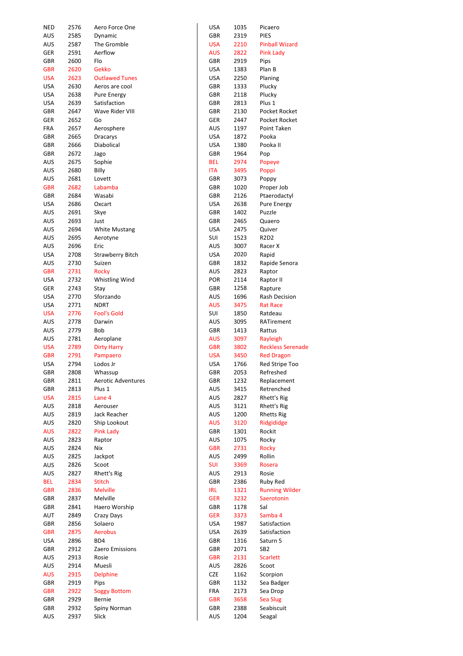| <b>NED</b> | 2576 | Aero Force One            | USA        | 1035 | Picaero                  |
|------------|------|---------------------------|------------|------|--------------------------|
| aus        | 2585 | Dynamic                   | GBR        | 2319 | <b>PIES</b>              |
| <b>AUS</b> | 2587 | The Gromble               | <b>USA</b> | 2210 | <b>Pinball Wizard</b>    |
| GER        | 2591 | Aerflow                   | AUS        | 2822 | <b>Pink Lady</b>         |
|            |      |                           |            |      |                          |
| GBR        | 2600 | Flo                       | GBR        | 2919 | Pips                     |
| <b>GBR</b> | 2620 | <b>Gekko</b>              | USA        | 1383 | Plan B                   |
| <b>USA</b> | 2623 | <b>Outlawed Tunes</b>     | USA        | 2250 | Planing                  |
| <b>USA</b> | 2630 | Aeros are cool            | GBR        | 1333 | Plucky                   |
| <b>USA</b> | 2638 | Pure Energy               | GBR        | 2118 | Plucky                   |
| <b>USA</b> | 2639 | Satisfaction              | GBR        | 2813 | Plus 1                   |
| GBR        | 2647 | Wave Rider VIII           | GBR        | 2130 | Pocket Rocket            |
|            | 2652 |                           | GER        | 2447 | Pocket Rocket            |
| GER        |      | Go                        |            |      |                          |
| FRA        | 2657 | Aerosphere                | AUS        | 1197 | Point Taken              |
| GBR        | 2665 | <b>Dracarys</b>           | <b>USA</b> | 1872 | Pooka                    |
| GBR        | 2666 | Diabolical                | USA        | 1380 | Pooka II                 |
| GBR        | 2672 | Jago                      | GBR        | 1964 | Pop                      |
| aus        | 2675 | Sophie                    | <b>BEL</b> | 2974 | Popeye                   |
| <b>AUS</b> | 2680 | Billy                     | <b>ITA</b> | 3495 | Poppi                    |
| AUS        | 2681 | Lovett                    | GBR        | 3073 | Poppy                    |
| <b>GBR</b> | 2682 | Labamba                   | GBR        | 1020 | Proper Job               |
|            | 2684 | Wasabi                    | GBR        | 2126 |                          |
| GBR        |      |                           |            |      | Ptaerodactyl             |
| <b>USA</b> | 2686 | Oxcart                    | USA        | 2638 | Pure Energy              |
| AUS        | 2691 | Skye                      | GBR        | 1402 | Puzzle                   |
| AUS        | 2693 | Just                      | GBR        | 2465 | Quaero                   |
| AUS        | 2694 | <b>White Mustang</b>      | <b>USA</b> | 2475 | Quiver                   |
| AUS        | 2695 | Aerotyne                  | SUI        | 1523 | R2D2                     |
| aus        | 2696 | Eric                      | AUS        | 3007 | Racer X                  |
| <b>USA</b> | 2708 | <b>Strawberry Bitch</b>   | <b>USA</b> | 2020 | Rapid                    |
| AUS        | 2730 | Suizen                    | GBR        | 1832 | Rapide Senora            |
| <b>GBR</b> | 2731 | <b>Rocky</b>              | AUS        | 2823 | Raptor                   |
| <b>USA</b> | 2732 | Whistling Wind            | <b>POR</b> | 2114 | Raptor II                |
| GER        | 2743 | Stay                      | GBR        | 1258 | Rapture                  |
| <b>USA</b> | 2770 | Sforzando                 | AUS        | 1696 | Rash Decision            |
|            |      |                           |            |      |                          |
| <b>USA</b> | 2771 | <b>NDRT</b>               | <b>AUS</b> | 3475 | <b>Rat Race</b>          |
| <b>USA</b> | 2776 | <b>Fool's Gold</b>        | SUI        | 1850 | Ratdeau                  |
| AUS        | 2778 | Darwin                    | AUS        | 3095 | RATirement               |
| AUS        | 2779 | Bob                       | GBR        | 1413 | Rattus                   |
| <b>AUS</b> | 2781 | Aeroplane                 | <b>AUS</b> | 3097 | Rayleigh                 |
| <b>USA</b> | 2789 | <b>Dirty Harry</b>        | <b>GBR</b> | 3802 | <b>Reckless Serenade</b> |
| <b>GBR</b> | 2791 | Pampaero                  | <b>USA</b> | 3450 | <b>Red Dragon</b>        |
| <b>USA</b> | 2794 | Lodos Jr                  | <b>USA</b> | 1766 | Red Stripe Too           |
| GBR        | 2808 | Whassup                   | GBR        | 2053 | Refreshed                |
| GBR        | 2811 | <b>Aerotic Adventures</b> | GBR        | 1232 | Replacement              |
| GBR        | 2813 | Plus 1                    | AUS        | 3415 | Retrenched               |
| <b>USA</b> | 2815 | Lane 4                    | AUS        | 2827 | Rhett's Rig              |
| <b>AUS</b> | 2818 | Aerouser                  | AUS        | 3121 | Rhett's Rig              |
| AUS        | 2819 | Jack Reacher              | AUS        | 1200 | <b>Rhetts Rig</b>        |
| AUS        | 2820 | Ship Lookout              | <b>AUS</b> | 3120 | Ridgididge               |
|            |      |                           |            |      |                          |
| <b>AUS</b> | 2822 | Pink Lady                 | GBR        | 1301 | Rockit                   |
| AUS        | 2823 | Raptor                    | AUS        | 1075 | Rocky                    |
| AUS        | 2824 | Nix                       | <b>GBR</b> | 2731 | <b>Rocky</b>             |
| AUS        | 2825 | Jackpot                   | AUS        | 2499 | Rollin                   |
| AUS        | 2826 | Scoot                     | <b>SUI</b> | 3369 | Rosera                   |
| AUS        | 2827 | Rhett's Rig               | AUS        | 2913 | Rosie                    |
| BEL        | 2834 | <b>Stitch</b>             | GBR        | 2386 | Ruby Red                 |
| <b>GBR</b> | 2836 | <b>Melville</b>           | IRL        | 1321 | <b>Running Wilder</b>    |
| GBR        | 2837 | Melville                  | <b>GER</b> | 3232 | Saerotonin               |
| GBR        | 2841 | Haero Worship             | GBR        | 1178 | Sal                      |
| AUT        | 2849 | Crazy Days                | <b>GER</b> | 3373 | Samba 4                  |
| GBR        | 2856 | Solaero                   | USA        | 1987 | Satisfaction             |
| <b>GBR</b> | 2875 | <b>Aerobus</b>            | <b>USA</b> | 2639 | Satisfaction             |
| <b>USA</b> | 2896 | BD4                       | GBR        | 1316 | Saturn 5                 |
| GBR        | 2912 | Zaero Emissions           | GBR        | 2071 | SB2                      |
| AUS        | 2913 | Rosie                     | <b>GBR</b> | 2131 | <b>Scarlett</b>          |
|            |      |                           |            |      |                          |
| AUS        | 2914 | Muesli                    | AUS        | 2826 | Scoot                    |
| <b>AUS</b> | 2915 | <b>Delphine</b>           | CZE        | 1162 | Scorpion                 |
| GBR        | 2919 | Pips                      | GBR        | 1132 | Sea Badger               |
| <b>GBR</b> | 2922 | <b>Soggy Bottom</b>       | FRA        | 2173 | Sea Drop                 |
| GBR        | 2929 | Bernie                    | <b>GBR</b> | 3658 | Sea Slug                 |
| GBR        | 2932 | Spiny Norman              | GBR        | 2388 | Seabiscuit               |
| AUS        | 2937 | Slick                     | AUS        | 1204 | Seagal                   |

| USA        | 1035 | Picaero               |
|------------|------|-----------------------|
| GBR        | 2319 | PIES                  |
| <b>USA</b> | 2210 | <b>Pinball Wizard</b> |
| AUS        | 2822 | <b>Pink Lady</b>      |
| GBR        | 2919 | Pips                  |
| USA        | 1383 | Plan B                |
| USA        | 2250 | Planing               |
| GBR        | 1333 | Plucky                |
| GBR        | 2118 | Plucky                |
| GBR        | 2813 | Plus 1                |
| GBR        | 2130 | Pocket Rocket         |
| GER        | 2447 | Pocket Rocket         |
| AUS        | 1197 | Point Taken           |
| USA        | 1872 | Pooka                 |
| USA        | 1380 | Pooka II              |
| GBR        | 1964 | Pop                   |
| BEL        | 2974 | Popeye                |
| ITA        | 3495 | Poppi                 |
| GBR        | 3073 | Poppy                 |
| GBR        | 1020 | Proper Job            |
| GBR        | 2126 | Ptaerodactyl          |
| USA        | 2638 | <b>Pure Energy</b>    |
| GBR        | 1402 | Puzzle                |
| GBR        | 2465 | Quaero                |
| USA        | 2475 | Quiver                |
| sui        | 1523 | R2D2                  |
| AUS        | 3007 | Racer X               |
| USA        | 2020 | Rapid                 |
| GBR        | 1832 | Rapide Senora         |
| AUS        | 2823 | Raptor                |
| POR        | 2114 | Raptor II             |
| GBR        | 1258 | Rapture               |
| AUS        | 1696 | <b>Rash Decision</b>  |
| AUS        | 3475 | <b>Rat Race</b>       |
| SUI        | 1850 | Ratdeau               |
| AUS        | 3095 | RATirement            |
| GBR        | 1413 | Rattus                |
| AUS        | 3097 | Rayleigh              |
| <b>GBR</b> | 3802 | Reckless Serena       |
| USA        | 3450 | <b>Red Dragon</b>     |
| USA        | 1766 | Red Stripe Too        |
| GBR        | 2053 | Refreshed             |
| GBR        | 1232 | Replacement           |
| AUS        | 3415 | Retrenched            |
| AUS        | 2827 | Rhett's Rig           |
| AUS        | 3121 | Rhett's Rig           |
| AUS        | 1200 | <b>Rhetts Rig</b>     |
| AUS        | 3120 | Ridgididge            |
| GBR        | 1301 | Rockit                |
| AUS        | 1075 | Rocky                 |
| GBR        | 2731 | <b>Rocky</b>          |
| AUS        | 2499 | Rollin                |
| sui        | 3369 | Rosera                |
| AUS        | 2913 | Rosie                 |
| GBR        | 2386 | Ruby Red              |
| IRL        | 1321 | <b>Running Wilder</b> |
| ger        | 3232 | Saerotonin            |
| GBR        | 1178 | Sal                   |
| ger        | 3373 | Samba 4               |
| USA        | 1987 | Satisfaction          |
| USA        | 2639 | Satisfaction          |
| GBR        | 1316 | Saturn 5              |
| GBR        | 2071 | SB2                   |
| GBR        | 2131 | <b>Scarlett</b>       |
| AUS        | 2826 | Scoot                 |
| CZE        | 1162 | Scorpion              |
| GBR        | 1132 | Sea Badger            |
| FRA        | 2173 | Sea Drop              |
| GBR        | 3658 | <b>Sea Slug</b>       |
| GBR        | 2388 | Seabiscuit            |
| AUS        | 1204 | Seagal                |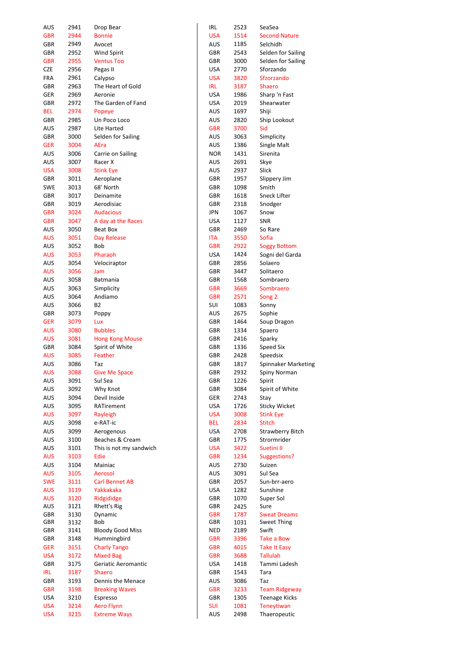| <b>AUS</b> | 2941 | Drop Bear               | IRL        | 2523 | SeaSea                  |
|------------|------|-------------------------|------------|------|-------------------------|
| <b>GBR</b> | 2944 | <b>Bonnie</b>           | <b>USA</b> | 1514 | <b>Second Nature</b>    |
| GBR        | 2949 | Avocet                  | <b>AUS</b> | 1185 | Selchidh                |
| GBR        | 2952 | Wind Spirit             | GBR        | 2543 | Selden for Sailing      |
| <b>GBR</b> | 2955 | <b>Ventus Too</b>       | GBR        | 3000 | Selden for Sailing      |
| <b>CZE</b> | 2956 | Pegas II                | USA        | 2770 | Sforzando               |
| FRA        | 2961 |                         | <b>USA</b> | 3820 | Sfzorzando              |
|            |      | Calypso                 |            |      |                         |
| GBR        | 2963 | The Heart of Gold       | <b>IRL</b> | 3187 | <b>Shaero</b>           |
| GER        | 2969 | Aeronie                 | <b>USA</b> | 1986 | Sharp 'n Fast           |
| GBR        | 2972 | The Garden of Fand      | USA        | 2019 | Shearwater              |
| BEL        | 2974 | Popeye                  | AUS        | 1697 | Shiji                   |
| GBR        | 2985 | Un Poco Loco            | AUS        | 2820 | Ship Lookout            |
| <b>AUS</b> | 2987 | Lite Harted             | <b>GBR</b> | 3700 | Sid                     |
| GBR        | 3000 | Selden for Sailing      | AUS        | 3063 | Simplicity              |
| <b>GER</b> | 3004 | AEra                    | AUS        | 1386 | Single Malt             |
| AUS        | 3006 | Carrie on Sailing       | <b>NOR</b> | 1431 | Sirenita                |
| AUS        | 3007 | Racer X                 | AUS        | 2691 | Skye                    |
|            |      |                         | <b>AUS</b> |      |                         |
| <b>USA</b> | 3008 | <b>Stink Eye</b>        |            | 2937 | Slick                   |
| GBR        | 3011 | Aeroplane               | GBR        | 1957 | Slippery Jim            |
| <b>SWE</b> | 3013 | 68' North               | GBR        | 1098 | Smith                   |
| GBR        | 3017 | Deinamite               | GBR        | 1618 | Sneck Lifter            |
| GBR        | 3019 | Aerodisiac              | GBR        | 2318 | Snodger                 |
| <b>GBR</b> | 3024 | <b>Audacious</b>        | <b>JPN</b> | 1067 | Snow                    |
| <b>GBR</b> | 3047 | A day at the Races      | <b>USA</b> | 1127 | <b>SNR</b>              |
| AUS        | 3050 | Beat Box                | GBR        | 2469 | So Rare                 |
| <b>AUS</b> | 3051 | Day Release             | ITA        | 3550 | Sofia                   |
| AUS        | 3052 | <b>Bob</b>              | <b>GBR</b> | 2922 |                         |
|            |      |                         |            |      | <b>Soggy Bottom</b>     |
| <b>AUS</b> | 3053 | Pharaoh                 | USA        | 1424 | Sogni del Garda         |
| <b>AUS</b> | 3054 | Velociraptor            | GBR        | 2856 | Solaero                 |
| <b>AUS</b> | 3056 | Jam                     | GBR        | 3447 | Solitaero               |
| <b>AUS</b> | 3058 | Batmania                | GBR        | 1568 | Sombraero               |
| AUS        | 3063 | Simplicity              | <b>GBR</b> | 3669 | Sombraero               |
| <b>AUS</b> | 3064 | Andiamo                 | <b>GBR</b> | 2571 | Song 2                  |
| AUS        | 3066 | B2                      | SUI        | 1083 | Sonny                   |
| GBR        | 3073 | Poppy                   | AUS        | 2675 | Sophie                  |
| <b>GER</b> | 3079 | Lux                     | GBR        | 1464 | Soup Dragon             |
| <b>AUS</b> | 3080 | <b>Bubbles</b>          | GBR        | 1334 | Spaero                  |
| <b>AUS</b> | 3081 | <b>Hong Kong Mouse</b>  | GBR        | 2416 |                         |
|            |      |                         |            |      | Sparky                  |
| GBR        | 3084 | Spirit of White         | GBR        | 1336 | Speed Six               |
| <b>AUS</b> | 3085 | Feather                 | GBR        | 2428 | Speedsix                |
| <b>AUS</b> | 3086 | Taz                     | GBR        | 1817 | Spinnaker Marketing     |
| <b>AUS</b> | 3088 | <b>Give Me Space</b>    | GBR        | 2932 | Spiny Norman            |
| <b>AUS</b> | 3091 | Sul Sea                 | GBR        | 1226 | Spirit                  |
| <b>AUS</b> | 3092 | Why Knot                | GBR        | 3084 | Spirit of White         |
| <b>AUS</b> | 3094 | Devil Inside            | GER        | 2743 | Stay                    |
| <b>AUS</b> | 3095 | RATirement              | <b>USA</b> | 1726 | <b>Sticky Wicket</b>    |
| <b>AUS</b> | 3097 | Rayleigh                | <b>USA</b> | 3008 | <b>Stink Eye</b>        |
| AUS        | 3098 | e-RAT-ic                | <b>BEL</b> | 2834 | <b>Stitch</b>           |
|            |      |                         | <b>USA</b> |      |                         |
| AUS        | 3099 | Aerogenous              |            | 2708 | <b>Strawberry Bitch</b> |
| AUS        | 3100 | Beaches & Cream         | GBR        | 1775 | Strormrider             |
| AUS        | 3101 | This is not my sandwich | <b>USA</b> | 3422 | Suetini II              |
| <b>AUS</b> | 3103 | Edie                    | <b>GBR</b> | 1234 | <b>Suggestions?</b>     |
| AUS        | 3104 | Mainiac                 | AUS        | 2730 | Suizen                  |
| <b>AUS</b> | 3105 | Aerosol                 | <b>AUS</b> | 3091 | Sul Sea                 |
| <b>SWE</b> | 3111 | <b>Carl Bennet AB</b>   | GBR        | 2057 | Sun-brr-aero            |
| <b>AUS</b> | 3119 | Yakkakaka               | <b>USA</b> | 1282 | Sunshine                |
| <b>AUS</b> | 3120 | Ridgididge              | GBR        | 1070 | Super Sol               |
| AUS        | 3121 | Rhett's Rig             | GBR        | 2425 | Sure                    |
| GBR        | 3130 | Dynamic                 | <b>GBR</b> | 1787 | <b>Sweat Dreams</b>     |
| GBR        | 3132 | Bob                     | GBR        | 1031 | <b>Sweet Thing</b>      |
| GBR        | 3141 | <b>Bloody Good Miss</b> | <b>NED</b> | 2189 | Swift                   |
| GBR        | 3148 | Hummingbird             | <b>GBR</b> | 3396 | Take a Bow              |
|            |      |                         |            |      |                         |
| <b>GER</b> | 3151 | <b>Charly Tango</b>     | <b>GBR</b> | 4015 | <b>Take It Easy</b>     |
| <b>USA</b> | 3172 | <b>Mixed Bag</b>        | <b>GBR</b> | 3688 | <b>Tallulah</b>         |
| GBR        | 3175 | Geriatic Aeromantic     | USA        | 1418 | Tammi Ladesh            |
| <b>IRL</b> | 3187 | Shaero                  | GBR        | 1543 | Tara                    |
| GBR        | 3193 | Dennis the Menace       | AUS        | 3086 | Taz                     |
| <b>GBR</b> | 3198 | <b>Breaking Waves</b>   | <b>GBR</b> | 3233 | <b>Team Ridgeway</b>    |
| <b>USA</b> | 3210 | Espresso                | GBR        | 1305 | <b>Teenage Kicks</b>    |
| <b>USA</b> | 3214 | <b>Aero Flynn</b>       | SUI        | 1081 | <b>Teneytiwan</b>       |
| <b>USA</b> | 3215 | <b>Extreme Ways</b>     | AUS        | 2498 | Thaeropeutic            |
|            |      |                         |            |      |                         |

| ۱L         | 2523 | SeaSea                  |
|------------|------|-------------------------|
| <b>SA</b>  | 1514 | <b>Second Nature</b>    |
| US         | 1185 | Selchidh                |
| BR         | 2543 | Selden for Sailing      |
| BR         | 3000 | Selden for Sailing      |
| <b>SA</b>  | 2770 | Sforzando               |
| <b>SA</b>  | 3820 | <b>Sfzorzando</b>       |
| ۲L         | 3187 | Shaero                  |
| <b>SA</b>  | 1986 | Sharp 'n Fast           |
| SA         | 2019 | Shearwater              |
| US         | 1697 | Shiji                   |
| US         | 2820 | Ship Lookout            |
| BR         | 3700 | Sid                     |
|            |      |                         |
| US         | 3063 | Simplicity              |
| US         | 1386 | Single Malt             |
| <b>IOR</b> | 1431 | Sirenita                |
| US         | 2691 | Skye                    |
| US         | 2937 | Slick                   |
| BR         | 1957 | Slippery Jim            |
| BR         | 1098 | Smith                   |
| ΒR         | 1618 | <b>Sneck Lifter</b>     |
| ΒR         | 2318 | Snodger                 |
| ٥N         | 1067 | Snow                    |
| SA         | 1127 | SNR                     |
| ΒR         | 2469 | So Rare                 |
| ٢A         | 3550 | Sofia                   |
| BR         | 2922 | <b>Soggy Bottom</b>     |
| <b>SA</b>  | 1424 | Sogni del Garda         |
| ΒR         | 2856 | Solaero                 |
| BR         | 3447 | Solitaero               |
|            |      | Sombraero               |
| ΒR         | 1568 |                         |
| BR         | 3669 | Sombraero               |
| BR         | 2571 | Song <sub>2</sub>       |
| UI         | 1083 | Sonny                   |
| US         | 2675 | Sophie                  |
| ΒR         | 1464 | Soup Dragon             |
| ΒR         | 1334 | Spaero                  |
| ΒR         | 2416 | Sparky                  |
| <b>BR</b>  | 1336 | <b>Speed Six</b>        |
| <b>BR</b>  | 2428 | Speedsix                |
| BR         | 1817 | Spinnaker Marketi       |
| BR         | 2932 | Spiny Norman            |
| ΒR         | 1226 | Spirit                  |
| ΒR         | 3084 | Spirit of White         |
| ER         | 2743 | Stay                    |
|            |      |                         |
| <b>SA</b>  | 1726 | <b>Sticky Wicket</b>    |
| ΙSΑ        | 3008 | <b>Stink Eye</b>        |
| ΕL         | 2834 | <b>Stitch</b>           |
| SA         | 2708 | <b>Strawberry Bitch</b> |
| ΒR         | 1775 | Strormrider             |
| <b>SA</b>  | 3422 | Suetini II              |
| ΒR         | 1234 | <b>Suggestions?</b>     |
| US         | 2730 | Suizen                  |
| US         | 3091 | Sul Sea                 |
| ΒR         | 2057 | Sun-brr-aero            |
| <b>SA</b>  | 1282 | Sunshine                |
| ΒR         | 1070 | Super Sol               |
| ΒR         | 2425 | Sure                    |
| ΒR         | 1787 | <b>Sweat Dreams</b>     |
| ΒR         | 1031 | Sweet Thing             |
| ΙED        | 2189 | Swift                   |
| ΒR         | 3396 | Take a Bow              |
| ΒR         | 4015 | <b>Take It Easy</b>     |
| BR         | 3688 | <b>Tallulah</b>         |
| ΙSΑ        | 1418 | Tammi Ladesh            |
| BR         |      |                         |
|            | 1543 | Tara                    |
| US         | 3086 | Taz                     |
| ΒR         | 3233 | <b>Team Ridgeway</b>    |
| ΒR         | 1305 | <b>Teenage Kicks</b>    |
| UI         | 1081 | Teneytiwan              |
| US         | 2498 | Thaeropeutic            |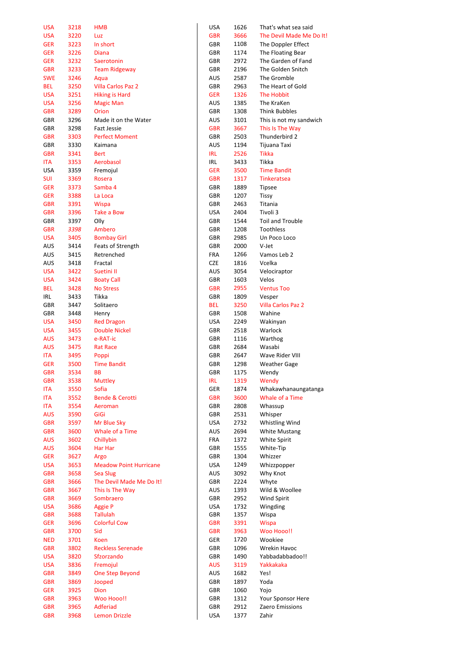| USA        | 3218 | <b>HMB</b>                    | USA        | 1626 | That's what sea said      |
|------------|------|-------------------------------|------------|------|---------------------------|
| USA        | 3220 | Luz                           | <b>GBR</b> | 3666 | The Devil Made Me Do It!  |
| <b>GER</b> | 3223 | In short                      | GBR        | 1108 | The Doppler Effect        |
| <b>GER</b> | 3226 | <b>Diana</b>                  | GBR        | 1174 | The Floating Bear         |
| <b>GER</b> | 3232 | Saerotonin                    | GBR        | 2972 | The Garden of Fand        |
| <b>GBR</b> | 3233 | <b>Team Ridgeway</b>          | GBR        | 2196 | The Golden Snitch         |
| <b>SWE</b> | 3246 | Aqua                          | AUS        | 2587 | The Gromble               |
|            |      |                               |            |      |                           |
| BEL        | 3250 | <b>Villa Carlos Paz 2</b>     | GBR        | 2963 | The Heart of Gold         |
| USA        | 3251 | <b>Hiking is Hard</b>         | GER        | 1326 | The Hobbit                |
| USA        | 3256 | <b>Magic Man</b>              | AUS        | 1385 | The KraKen                |
| <b>GBR</b> | 3289 | Orion                         | GBR        | 1308 | <b>Think Bubbles</b>      |
| GBR        | 3296 | Made it on the Water          | AUS        | 3101 | This is not my sandwich   |
| GBR        | 3298 | <b>Fazt Jessie</b>            | <b>GBR</b> | 3667 | This Is The Way           |
| GBR        | 3303 | <b>Perfect Moment</b>         | GBR        | 2503 | Thunderbird 2             |
| GBR        | 3330 | Kaimana                       | AUS        | 1194 | Tijuana Taxi              |
| <b>GBR</b> | 3341 | <b>Bert</b>                   | IRL        | 2526 | Tikka                     |
| ITA        | 3353 | Aerobasol                     | IRL        | 3433 | Tikka                     |
|            |      |                               |            |      | <b>Time Bandit</b>        |
| USA        | 3359 | Fremojul                      | GER        | 3500 |                           |
| SUI        | 3369 | Rosera                        | <b>GBR</b> | 1317 | <b>Tinkeratsea</b>        |
| <b>GER</b> | 3373 | Samba 4                       | GBR        | 1889 | Tipsee                    |
| <b>GER</b> | 3388 | La Loca                       | GBR        | 1207 | <b>Tissy</b>              |
| <b>GBR</b> | 3391 | <b>Wispa</b>                  | GBR        | 2463 | Titania                   |
| <b>GBR</b> | 3396 | Take a Bow                    | USA        | 2404 | Tivoli 3                  |
| GBR        | 3397 | Olly                          | GBR        | 1544 | Toil and Trouble          |
| <b>GBR</b> | 3398 | Ambero                        | GBR        | 1208 | Toothless                 |
| USA        | 3405 | <b>Bombay Girl</b>            | GBR        | 2985 | Un Poco Loco              |
| AUS        | 3414 | Feats of Strength             | GBR        | 2000 | V-Jet                     |
|            |      |                               |            |      |                           |
| AUS        | 3415 | Retrenched                    | FRA        | 1266 | Vamos Leb 2               |
| AUS        | 3418 | Fractal                       | CZE        | 1816 | Vcelka                    |
| USA        | 3422 | Suetini II                    | AUS        | 3054 | Velociraptor              |
| USA        | 3424 | <b>Boaty Call</b>             | GBR        | 1603 | Velos                     |
| BEL        | 3428 | <b>No Stress</b>              | <b>GBR</b> | 2955 | <b>Ventus Too</b>         |
| IRL        | 3433 | Tikka                         | GBR        | 1809 | Vesper                    |
| GBR        | 3447 | Solitaero                     | BEL.       | 3250 | <b>Villa Carlos Paz 2</b> |
| GBR        | 3448 | Henry                         | GBR        | 1508 | Wahine                    |
| USA        | 3450 | <b>Red Dragon</b>             | USA        | 2249 | Wakinyan                  |
| USA        | 3455 | <b>Double Nickel</b>          | GBR        | 2518 | Warlock                   |
| <b>AUS</b> | 3473 | e-RAT-ic                      | GBR        | 1116 | Warthog                   |
|            |      |                               |            |      |                           |
| AUS        | 3475 | <b>Rat Race</b>               | GBR        | 2684 | Wasabi                    |
| ITA        | 3495 | Poppi                         | GBR        | 2647 | Wave Rider VIII           |
| <b>GER</b> | 3500 | <b>Time Bandit</b>            | GBR        | 1298 | <b>Weather Gage</b>       |
| GBR        | 3534 | ВB                            | GBR        | 1175 | Wendy                     |
| GBR        | 3538 | <b>Muttley</b>                | <b>IRL</b> | 1319 | Wendy                     |
| ITA        | 3550 | Sofia                         | GER        | 1874 | Whakawhanaungatanga       |
| ITA        | 3552 | <b>Bende &amp; Cerotti</b>    | <b>GBR</b> | 3600 | Whale of a Time           |
| ITA        | 3554 | Aeroman                       | GBR        | 2808 | Whassup                   |
| <b>AUS</b> | 3590 | GiGi                          | GBR        | 2531 | Whisper                   |
| <b>GBR</b> | 3597 | Mr Blue Sky                   | USA        | 2732 | Whistling Wind            |
| <b>GBR</b> | 3600 | Whale of a Time               | AUS        | 2694 | <b>White Mustang</b>      |
| <b>AUS</b> | 3602 | Chillybin                     | FRA        | 1372 | <b>White Spirit</b>       |
| <b>AUS</b> | 3604 | Har Har                       | GBR        | 1555 | White-Tip                 |
| <b>GER</b> | 3627 | Argo                          | GBR        | 1304 | Whizzer                   |
|            |      |                               |            |      |                           |
| <b>USA</b> | 3653 | <b>Meadow Point Hurricane</b> | USA        | 1249 | Whizzpopper               |
| <b>GBR</b> | 3658 | <b>Sea Slug</b>               | AUS        | 3092 | Why Knot                  |
| <b>GBR</b> | 3666 | The Devil Made Me Do It!      | GBR        | 2224 | Whyte                     |
| <b>GBR</b> | 3667 | This Is The Way               | <b>AUS</b> | 1393 | Wild & Woollee            |
| <b>GBR</b> | 3669 | Sombraero                     | GBR        | 2952 | Wind Spirit               |
| <b>USA</b> | 3686 | <b>Aggie P</b>                | USA        | 1732 | Wingding                  |
| GBR        | 3688 | <b>Tallulah</b>               | GBR        | 1357 | Wispa                     |
| <b>GER</b> | 3696 | <b>Colorful Cow</b>           | <b>GBR</b> | 3391 | <b>Wispa</b>              |
| <b>GBR</b> | 3700 | Sid                           | <b>GBR</b> | 3963 | Woo Hooo!!                |
| <b>NED</b> | 3701 | Koen                          | GER        | 1720 | Wookiee                   |
| <b>GBR</b> | 3802 | <b>Reckless Serenade</b>      | GBR        | 1096 | Wrekin Havoc              |
| USA        | 3820 | Sfzorzando                    | GBR        | 1490 | Yabbadabbadoo!!           |
|            |      |                               |            |      |                           |
| <b>USA</b> | 3836 | Fremojul                      | <b>AUS</b> | 3119 | Yakkakaka                 |
| <b>GBR</b> | 3849 | <b>One Step Beyond</b>        | AUS        | 1682 | Yes!                      |
| <b>GBR</b> | 3869 | Jooped                        | GBR        | 1897 | Yoda                      |
| GER        | 3925 | Dion                          | GBR        | 1060 | Yojo                      |
| <b>GBR</b> | 3963 | Woo Hooo!!                    | GBR        | 1312 | Your Sponsor Here         |
| <b>GBR</b> | 3965 | Adferiad                      | GBR        | 2912 | Zaero Emissions           |
|            | 3968 | Lemon Drizzle                 | USA        | 1377 | Zahir                     |

| USA               | 1626         | That's what sea said             |
|-------------------|--------------|----------------------------------|
| <b>GBR</b>        | 3666         | The Devil Made Me Do It          |
| GBR               | 1108         | The Doppler Effect               |
| <b>GBR</b>        | 1174         | The Floating Bear                |
| GBR               | 2972         | The Garden of Fand               |
| GBR               | 2196         | The Golden Snitch                |
| AUS               | 2587         | The Gromble                      |
| GBR               | 2963         | The Heart of Gold                |
| <b>GER</b>        | 1326         | The Hobbit                       |
| AUS               | 1385         | The KraKen                       |
| GBR               | 1308         | <b>Think Bubbles</b>             |
| AUS               | 3101         | This is not my sandwich          |
| <b>GBR</b><br>GBR | 3667<br>2503 | This Is The Way<br>Thunderbird 2 |
| AUS               | 1194         | Tijuana Taxi                     |
| IRL               | 2526         | Tikka                            |
| IRL               | 3433         | Tikka                            |
| GER               | 3500         | <b>Time Bandit</b>               |
| <b>GBR</b>        | 1317         | <b>Tinkeratsea</b>               |
| GBR               | 1889         | <b>Tipsee</b>                    |
| <b>GBR</b>        | 1207         | <b>Tissy</b>                     |
| GBR               | 2463         | Titania                          |
| USA               | 2404         | Tivoli 3                         |
| GBR               | 1544         | <b>Toil and Trouble</b>          |
| GBR               | 1208         | <b>Toothless</b>                 |
| GBR               | 2985         | Un Poco Loco                     |
| GBR               | 2000         | V-Jet                            |
| FRA               | 1266         | Vamos Leb 2                      |
| CZE               | 1816         | Vcelka                           |
| AUS               | 3054         | Velociraptor                     |
| GBR               | 1603         | Velos                            |
| <b>GBR</b>        | 2955         | <b>Ventus Too</b>                |
| GBR               | 1809         | Vesper                           |
| BEL               | 3250         | <b>Villa Carlos Paz 2</b>        |
| GBR               | 1508         | Wahine                           |
| USA<br>GBR        | 2249<br>2518 | Wakinyan<br>Warlock              |
| <b>GBR</b>        | 1116         | Warthog                          |
| GBR               | 2684         | Wasabi                           |
| GBR               | 2647         | Wave Rider VIII                  |
| <b>GBR</b>        | 1298         | <b>Weather Gage</b>              |
| GBR               | 1175         | Wendy                            |
| IRL               | 1319         | Wendy                            |
| GER               | 1874         | Whakawhanaungatanga              |
| <b>GBR</b>        | 3600         | Whale of a Time                  |
| GBR               | 2808         | Whassup                          |
| GBR               | 2531         | Whisper                          |
| USA               | 2732         | Whistling Wind                   |
| AUS               | 2694         | <b>White Mustang</b>             |
| <b>FRA</b>        | 1372         | <b>White Spirit</b>              |
| GBR               | 1555         | White-Tip                        |
| GBR               | 1304         | Whizzer                          |
| USA               | 1249         | Whizzpopper                      |
| AUS               | 3092         | Why Knot                         |
| GBR               | 2224         | Whyte                            |
| AUS               | 1393         | Wild & Woollee                   |
| GBR<br>USA        | 2952<br>1732 | <b>Wind Spirit</b><br>Wingding   |
| GBR               | 1357         | Wispa                            |
| GBR               | 3391         | Wispa                            |
| GBR               | 3963         | Woo Hooo!!                       |
| GER               | 1720         | Wookiee                          |
| GBR               | 1096         | Wrekin Havoc                     |
| GBR               | 1490         | Yabbadabbadoo!!                  |
| AUS               | 3119         | Yakkakaka                        |
| AUS               | 1682         | Yes!                             |
| GBR               | 1897         | Yoda                             |
| GBR               | 1060         | Yojo                             |
| GBR               | 1312         | Your Sponsor Here                |
| GBR               | 2912         | Zaero Emissions                  |
| <b>USA</b>        | 1377         | Zahir                            |